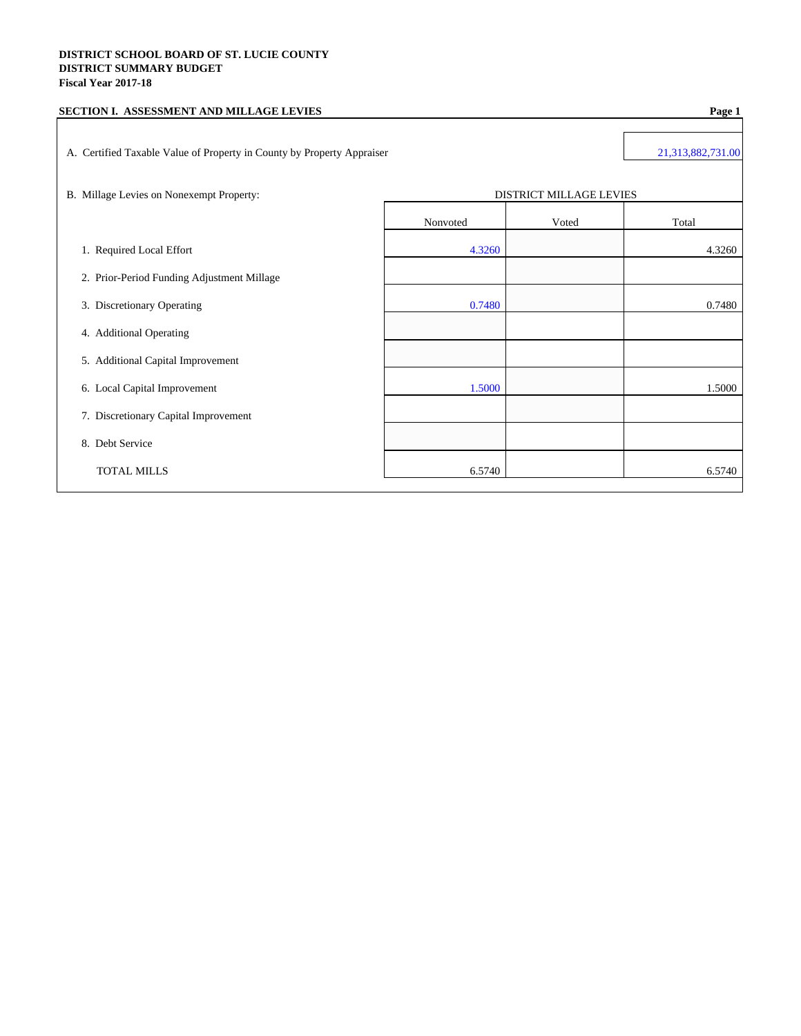## **DISTRICT SCHOOL BOARD OF ST. LUCIE COUNTY DISTRICT SUMMARY BUDGET Fiscal Year 2017-18**

| SECTION I. ASSESSMENT AND MILLAGE LEVIES                               | Page 1            |                                |        |
|------------------------------------------------------------------------|-------------------|--------------------------------|--------|
| A. Certified Taxable Value of Property in County by Property Appraiser | 21,313,882,731.00 |                                |        |
| B. Millage Levies on Nonexempt Property:                               |                   | <b>DISTRICT MILLAGE LEVIES</b> |        |
|                                                                        | Nonvoted          | Voted                          | Total  |
| 1. Required Local Effort                                               | 4.3260            |                                | 4.3260 |
| 2. Prior-Period Funding Adjustment Millage                             |                   |                                |        |
| 3. Discretionary Operating                                             | 0.7480            |                                | 0.7480 |
| 4. Additional Operating                                                |                   |                                |        |
| 5. Additional Capital Improvement                                      |                   |                                |        |
| 6. Local Capital Improvement                                           | 1.5000            |                                | 1.5000 |
| 7. Discretionary Capital Improvement                                   |                   |                                |        |
| 8. Debt Service                                                        |                   |                                |        |
| <b>TOTAL MILLS</b>                                                     | 6.5740            |                                | 6.5740 |
|                                                                        |                   |                                |        |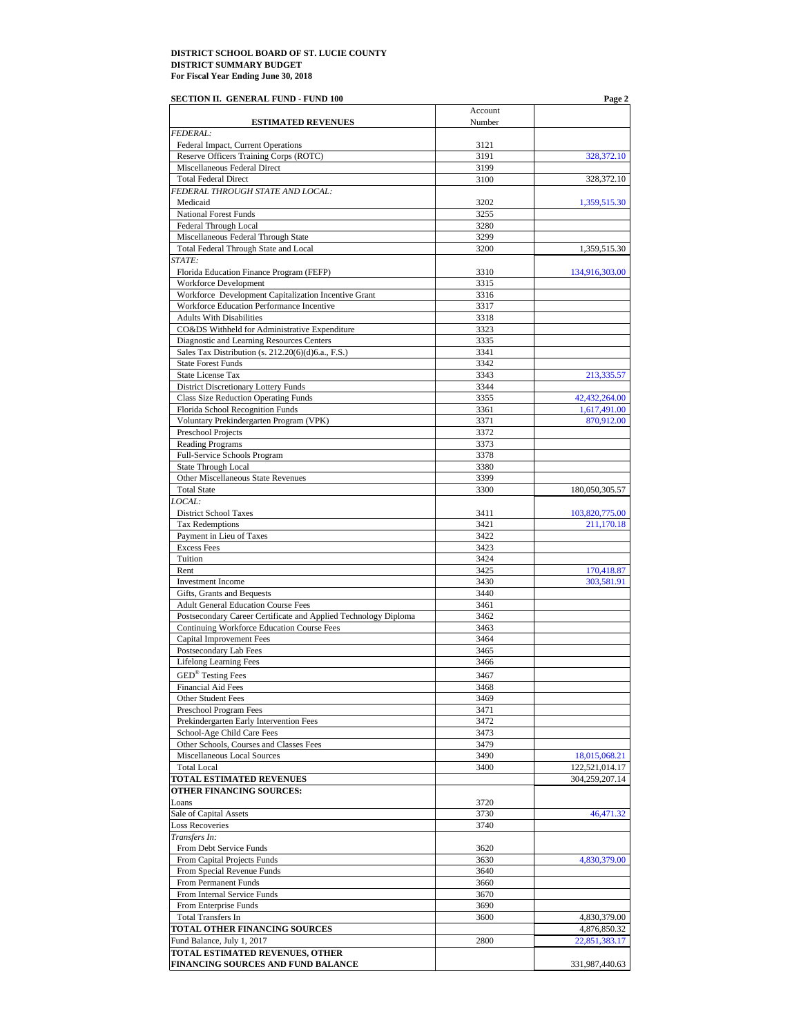| SECTION II. GENERAL FUND - FUND 100                                                                           |              | Page 2         |
|---------------------------------------------------------------------------------------------------------------|--------------|----------------|
|                                                                                                               | Account      |                |
| <b>ESTIMATED REVENUES</b>                                                                                     | Number       |                |
| <b>FEDERAL:</b>                                                                                               |              |                |
| Federal Impact, Current Operations                                                                            | 3121<br>3191 |                |
| Reserve Officers Training Corps (ROTC)<br>Miscellaneous Federal Direct                                        | 3199         | 328,372.10     |
| <b>Total Federal Direct</b>                                                                                   | 3100         | 328,372.10     |
| FEDERAL THROUGH STATE AND LOCAL:                                                                              |              |                |
| Medicaid                                                                                                      | 3202         | 1,359,515.30   |
| <b>National Forest Funds</b>                                                                                  | 3255         |                |
| <b>Federal Through Local</b>                                                                                  | 3280         |                |
| Miscellaneous Federal Through State                                                                           | 3299         |                |
| Total Federal Through State and Local                                                                         | 3200         | 1,359,515.30   |
| STATE:                                                                                                        |              |                |
| Florida Education Finance Program (FEFP)                                                                      | 3310         | 134,916,303.00 |
| Workforce Development                                                                                         | 3315         |                |
| Workforce Development Capitalization Incentive Grant                                                          | 3316         |                |
| Workforce Education Performance Incentive                                                                     | 3317         |                |
| <b>Adults With Disabilities</b>                                                                               | 3318         |                |
| CO&DS Withheld for Administrative Expenditure                                                                 | 3323         |                |
| Diagnostic and Learning Resources Centers                                                                     | 3335         |                |
| Sales Tax Distribution (s. 212.20(6)(d)6.a., F.S.)                                                            | 3341         |                |
| <b>State Forest Funds</b>                                                                                     | 3342         |                |
| State License Tax                                                                                             | 3343         | 213,335.57     |
| District Discretionary Lottery Funds                                                                          | 3344         |                |
| Class Size Reduction Operating Funds                                                                          | 3355         | 42,432,264.00  |
| Florida School Recognition Funds                                                                              | 3361         | 1,617,491.00   |
| Voluntary Prekindergarten Program (VPK)                                                                       | 3371         | 870,912.00     |
| Preschool Projects                                                                                            | 3372         |                |
| <b>Reading Programs</b>                                                                                       | 3373         |                |
| Full-Service Schools Program                                                                                  | 3378         |                |
| <b>State Through Local</b>                                                                                    | 3380         |                |
| Other Miscellaneous State Revenues                                                                            | 3399         |                |
| <b>Total State</b>                                                                                            | 3300         | 180,050,305.57 |
| LOCAL:                                                                                                        |              |                |
| District School Taxes                                                                                         | 3411         | 103,820,775.00 |
| <b>Tax Redemptions</b>                                                                                        | 3421         | 211,170.18     |
| Payment in Lieu of Taxes                                                                                      | 3422         |                |
| <b>Excess Fees</b>                                                                                            | 3423         |                |
| Tuition                                                                                                       | 3424         |                |
| Rent                                                                                                          | 3425         | 170,418.87     |
| Investment Income                                                                                             | 3430         | 303,581.91     |
| Gifts, Grants and Bequests                                                                                    | 3440         |                |
| <b>Adult General Education Course Fees</b><br>Postsecondary Career Certificate and Applied Technology Diploma | 3461<br>3462 |                |
| Continuing Workforce Education Course Fees                                                                    | 3463         |                |
| Capital Improvement Fees                                                                                      | 3464         |                |
| Postsecondary Lab Fees                                                                                        | 3465         |                |
| <b>Lifelong Learning Fees</b>                                                                                 | 3466         |                |
| <b>GED<sup>®</sup></b> Testing Fees                                                                           | 3467         |                |
| <b>Financial Aid Fees</b>                                                                                     | 3468         |                |
| Other Student Fees                                                                                            | 3469         |                |
| Preschool Program Fees                                                                                        | 3471         |                |
| Prekindergarten Early Intervention Fees                                                                       | 3472         |                |
| School-Age Child Care Fees                                                                                    | 3473         |                |
| Other Schools, Courses and Classes Fees                                                                       | 3479         |                |
| Miscellaneous Local Sources                                                                                   | 3490         | 18,015,068.21  |
| <b>Total Local</b>                                                                                            | 3400         | 122,521,014.17 |
| <b>TOTAL ESTIMATED REVENUES</b>                                                                               |              | 304,259,207.14 |
| OTHER FINANCING SOURCES:                                                                                      |              |                |
| Loans                                                                                                         | 3720         |                |
| Sale of Capital Assets                                                                                        | 3730         | 46,471.32      |
| <b>Loss Recoveries</b>                                                                                        | 3740         |                |
| Transfers In:                                                                                                 |              |                |
| From Debt Service Funds                                                                                       | 3620         |                |
| From Capital Projects Funds                                                                                   | 3630         | 4,830,379.00   |
| From Special Revenue Funds                                                                                    | 3640         |                |
| From Permanent Funds                                                                                          | 3660         |                |
| From Internal Service Funds                                                                                   | 3670         |                |
| From Enterprise Funds                                                                                         | 3690         |                |
| <b>Total Transfers In</b>                                                                                     | 3600         | 4,830,379.00   |
| TOTAL OTHER FINANCING SOURCES                                                                                 |              | 4,876,850.32   |
| Fund Balance, July 1, 2017                                                                                    | 2800         | 22,851,383.17  |
| TOTAL ESTIMATED REVENUES, OTHER                                                                               |              |                |
| FINANCING SOURCES AND FUND BALANCE                                                                            |              | 331,987,440.63 |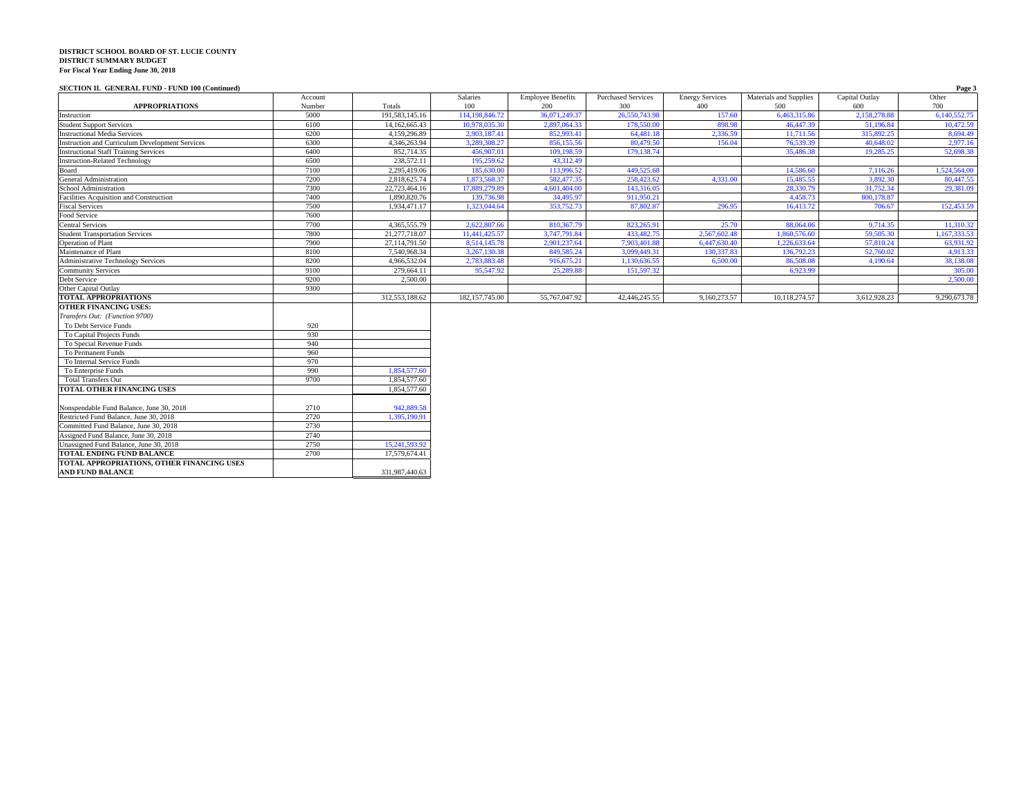#### **SECTION II. GENERAL FUND - FUND 100 (Continued) Page 3**

|                                                        | Account |                | Salaries         | <b>Employee Benefits</b> | <b>Purchased Services</b> | <b>Energy Services</b> | Materials and Supplies | Capital Outlay | Other        |
|--------------------------------------------------------|---------|----------------|------------------|--------------------------|---------------------------|------------------------|------------------------|----------------|--------------|
| <b>APPROPRIATIONS</b>                                  | Number  | Totals         | 100              | 200                      | 300                       | 400                    | 500                    | 600            | 700          |
| Instruction                                            | 5000    | 191,583,145.16 | 114,198,846.72   | 36,071,249.37            | 26,550,743.98             | 157.60                 | 6.463.315.86           | 2.158.278.88   | 6.140.552.75 |
| <b>Student Support Services</b>                        | 6100    | 14,162,665.43  | 10,978,035.30    | 2,897,064.33             | 178,550,00                | 898.98                 | 46,447.39              | 51,196.84      | 10,472.59    |
| <b>Instructional Media Services</b>                    | 6200    | 4.159.296.89   | 2.903.187.41     | 852,993.41               | 64,481.18                 | 2.336.59               | 11.711.56              | 315,892.25     | 8,694.49     |
| <b>Instruction and Curriculum Development Services</b> | 6300    | 4,346,263.94   | 3,289,308.27     | 856,155.56               | 80,479.50                 | 156.04                 | 76,539.39              | 40,648.02      | 2,977.16     |
| <b>Instructional Staff Training Services</b>           | 6400    | 852,714.35     | 456,907.01       | 109,198.59               | 179, 138, 74              |                        | 35,486.38              | 19.285.25      | 52,698.38    |
| <b>Instruction-Related Technology</b>                  | 6500    | 238,572.11     | 195,259.62       | 43,312.49                |                           |                        |                        |                |              |
| Board                                                  | 7100    | 2,295,419.06   | 185,630.00       | 113,996.52               | 449,525.68                |                        | 14,586.60              | 7,116.26       | 1,524,564.00 |
| General Administration                                 | 7200    | 2,818,625.74   | 1,873,568.37     | 582,477.35               | 258,423.62                | 4.331.00               | 15,485.55              | 3.892.30       | 80,447.55    |
| School Administration                                  | 7300    | 22,723,464.16  | 17,889,279.89    | 4,601,404.00             | 143,316.05                |                        | 28,330.79              | 31,752.34      | 29,381.09    |
| Facilities Acquisition and Construction                | 7400    | 1,890,820.76   | 139,736.98       | 34,495.97                | 911.950.21                |                        | 4,458.73               | 800.178.87     |              |
| <b>Fiscal Services</b>                                 | 7500    | 1,934,471.17   | 1,323,044.64     | 353,752.73               | 87,802.87                 | 296.95                 | 16,413.72              | 706.67         | 152,453.59   |
| Food Service                                           | 7600    |                |                  |                          |                           |                        |                        |                |              |
| <b>Central Services</b>                                | 7700    | 4,365,555.79   | 2.622,807.66     | 810,367.79               | 823,265.91                | 25.70                  | 88,064.06              | 9,714.35       | 11,310.32    |
| <b>Student Transportation Services</b>                 | 7800    | 21,277,718.07  | 11,441,425.57    | 3,747,791.84             | 433,482.75                | 2,567,602.48           | 1.860,576.60           | 59,505.30      | 1,167,333.53 |
| <b>Operation</b> of Plant                              | 7900    | 27,114,791.50  | 8,514,145.78     | 2,901,237.64             | 7,903,401.88              | 6.447.630.40           | 1.226,633.64           | 57,810.24      | 63,931.92    |
| Maintenance of Plant                                   | 8100    | 7,540,968.34   | 3,267,130.38     | 849,585.24               | 3,099,449.31              | 130,337.83             | 136,792.23             | 52,760.02      | 4,913.33     |
| <b>Administrative Technology Services</b>              | 8200    | 4,966,532.04   | 2,783,883.48     | 916,675.21               | 1,130,636.55              | 6,500.00               | 86,508.08              | 4,190.64       | 38,138.08    |
| <b>Community Services</b>                              | 9100    | 279,664.11     | 95,547.92        | 25,289.88                | 151,597.32                |                        | 6,923.99               |                | 305.00       |
| Debt Service                                           | 9200    | 2,500.00       |                  |                          |                           |                        |                        |                | 2,500,00     |
| Other Capital Outlay                                   | 9300    |                |                  |                          |                           |                        |                        |                |              |
| <b>TOTAL APPROPRIATIONS</b>                            |         | 312,553,188.62 | 182, 157, 745.00 | 55,767,047.92            | 42,446,245.55             | 9,160,273.57           | 10,118,274.57          | 3,612,928.23   | 9,290,673.78 |
| <b>OTHER FINANCING USES:</b>                           |         |                |                  |                          |                           |                        |                        |                |              |
| Transfers Out: (Function 9700)                         |         |                |                  |                          |                           |                        |                        |                |              |
| To Debt Service Funds                                  | 920     |                |                  |                          |                           |                        |                        |                |              |
| To Capital Projects Funds                              | 930     |                |                  |                          |                           |                        |                        |                |              |
| To Special Revenue Funds                               | 940     |                |                  |                          |                           |                        |                        |                |              |
| To Permanent Funds                                     | 960     |                |                  |                          |                           |                        |                        |                |              |
| To Internal Service Funds                              | 970     |                |                  |                          |                           |                        |                        |                |              |
| To Enterprise Funds                                    | 990     | 1,854,577.60   |                  |                          |                           |                        |                        |                |              |
| <b>Total Transfers Out</b>                             | 9700    | 1,854,577.60   |                  |                          |                           |                        |                        |                |              |
| TOTAL OTHER FINANCING USES                             |         | 1,854,577.60   |                  |                          |                           |                        |                        |                |              |
|                                                        |         |                |                  |                          |                           |                        |                        |                |              |
| Nonspendable Fund Balance, June 30, 2018               | 2710    | 942,889.58     |                  |                          |                           |                        |                        |                |              |
| Restricted Fund Balance, June 30, 2018                 | 2720    | 1,395,190.91   |                  |                          |                           |                        |                        |                |              |
| Committed Fund Balance, June 30, 2018                  | 2730    |                |                  |                          |                           |                        |                        |                |              |
| Assigned Fund Balance, June 30, 2018                   | 2740    |                |                  |                          |                           |                        |                        |                |              |
| Unassigned Fund Balance, June 30, 2018                 | 2750    | 15,241,593.92  |                  |                          |                           |                        |                        |                |              |
| <b>TOTAL ENDING FUND BALANCE</b>                       | 2700    | 17.579.674.41  |                  |                          |                           |                        |                        |                |              |
| TOTAL APPROPRIATIONS, OTHER FINANCING USES             |         |                |                  |                          |                           |                        |                        |                |              |
| <b>AND FUND BALANCE</b>                                |         | 331,987,440.63 |                  |                          |                           |                        |                        |                |              |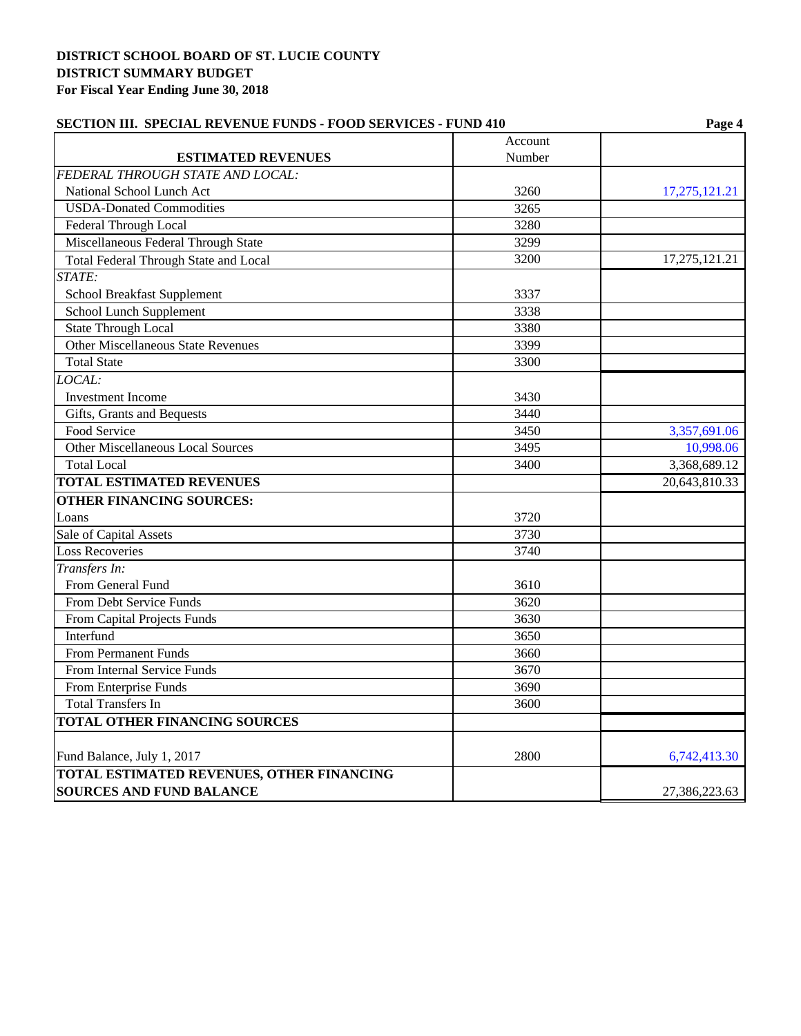| <b>SECTION III. SPECIAL REVENUE FUNDS - FOOD SERVICES - FUND 410</b> |         | Page 4           |  |  |
|----------------------------------------------------------------------|---------|------------------|--|--|
|                                                                      | Account |                  |  |  |
| <b>ESTIMATED REVENUES</b>                                            | Number  |                  |  |  |
| FEDERAL THROUGH STATE AND LOCAL:                                     |         |                  |  |  |
| National School Lunch Act                                            | 3260    | 17, 275, 121. 21 |  |  |
| <b>USDA-Donated Commodities</b>                                      | 3265    |                  |  |  |
| Federal Through Local                                                | 3280    |                  |  |  |
| Miscellaneous Federal Through State                                  | 3299    |                  |  |  |
| <b>Total Federal Through State and Local</b>                         | 3200    | 17,275,121.21    |  |  |
| STATE:                                                               |         |                  |  |  |
| School Breakfast Supplement                                          | 3337    |                  |  |  |
| School Lunch Supplement                                              | 3338    |                  |  |  |
| <b>State Through Local</b>                                           | 3380    |                  |  |  |
| Other Miscellaneous State Revenues                                   | 3399    |                  |  |  |
| <b>Total State</b>                                                   | 3300    |                  |  |  |
| LOCAL:                                                               |         |                  |  |  |
| <b>Investment Income</b>                                             | 3430    |                  |  |  |
| Gifts, Grants and Bequests                                           | 3440    |                  |  |  |
| Food Service                                                         | 3450    | 3,357,691.06     |  |  |
| Other Miscellaneous Local Sources                                    | 3495    | 10,998.06        |  |  |
| <b>Total Local</b>                                                   | 3400    | 3,368,689.12     |  |  |
| <b>TOTAL ESTIMATED REVENUES</b>                                      |         | 20,643,810.33    |  |  |
| <b>OTHER FINANCING SOURCES:</b>                                      |         |                  |  |  |
| Loans                                                                | 3720    |                  |  |  |
| Sale of Capital Assets                                               | 3730    |                  |  |  |
| <b>Loss Recoveries</b>                                               | 3740    |                  |  |  |
| Transfers In:                                                        |         |                  |  |  |
| From General Fund                                                    | 3610    |                  |  |  |
| From Debt Service Funds                                              | 3620    |                  |  |  |
| From Capital Projects Funds                                          | 3630    |                  |  |  |
| Interfund                                                            | 3650    |                  |  |  |
| From Permanent Funds                                                 | 3660    |                  |  |  |
| From Internal Service Funds                                          | 3670    |                  |  |  |
| From Enterprise Funds                                                | 3690    |                  |  |  |
| <b>Total Transfers In</b>                                            | 3600    |                  |  |  |
| <b>TOTAL OTHER FINANCING SOURCES</b>                                 |         |                  |  |  |
| Fund Balance, July 1, 2017                                           | 2800    | 6,742,413.30     |  |  |
| <b>TOTAL ESTIMATED REVENUES, OTHER FINANCING</b>                     |         |                  |  |  |
| <b>SOURCES AND FUND BALANCE</b>                                      |         | 27,386,223.63    |  |  |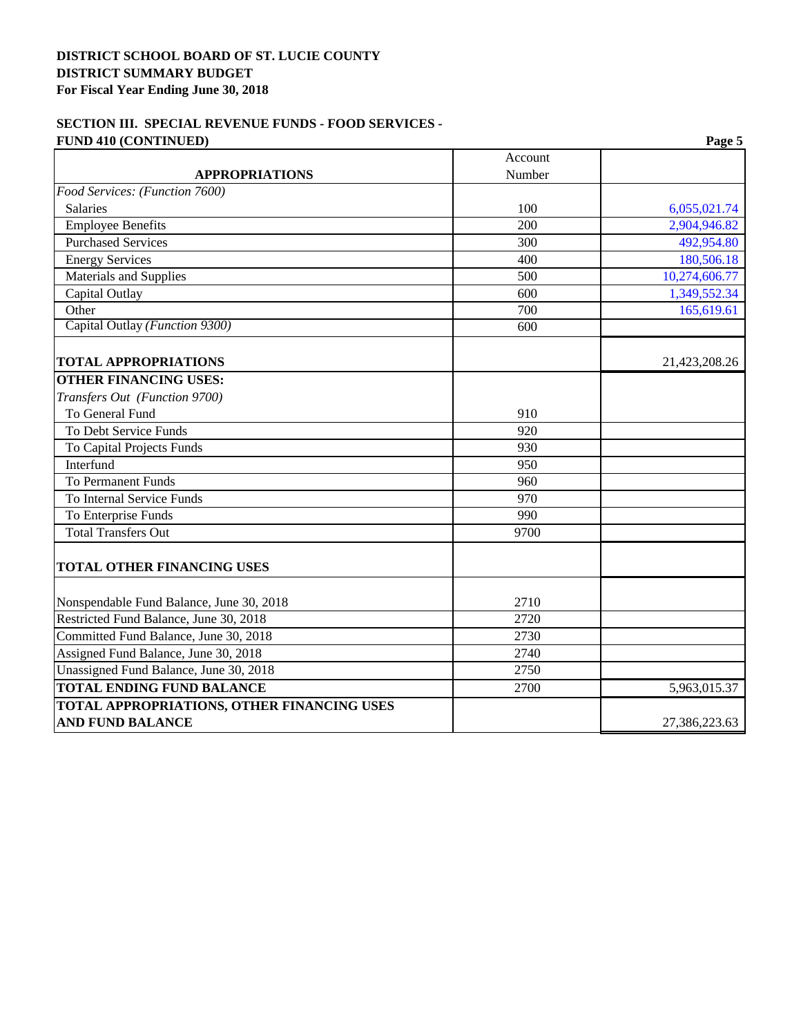## **SECTION III. SPECIAL REVENUE FUNDS - FOOD SERVICES - FUND 410 (CONTINUED) Page 5**

|                                            | Account |               |
|--------------------------------------------|---------|---------------|
| <b>APPROPRIATIONS</b>                      | Number  |               |
| Food Services: (Function 7600)             |         |               |
| Salaries                                   | 100     | 6,055,021.74  |
| <b>Employee Benefits</b>                   | 200     | 2,904,946.82  |
| <b>Purchased Services</b>                  | 300     | 492,954.80    |
| <b>Energy Services</b>                     | 400     | 180,506.18    |
| Materials and Supplies                     | 500     | 10,274,606.77 |
| Capital Outlay                             | 600     | 1,349,552.34  |
| Other                                      | 700     | 165,619.61    |
| Capital Outlay (Function 9300)             | 600     |               |
| <b>TOTAL APPROPRIATIONS</b>                |         | 21,423,208.26 |
| <b>OTHER FINANCING USES:</b>               |         |               |
| Transfers Out (Function 9700)              |         |               |
| To General Fund                            | 910     |               |
| <b>To Debt Service Funds</b>               | 920     |               |
| To Capital Projects Funds                  | 930     |               |
| Interfund                                  | 950     |               |
| <b>To Permanent Funds</b>                  | 960     |               |
| To Internal Service Funds                  | 970     |               |
| To Enterprise Funds                        | 990     |               |
| <b>Total Transfers Out</b>                 | 9700    |               |
| <b>TOTAL OTHER FINANCING USES</b>          |         |               |
| Nonspendable Fund Balance, June 30, 2018   | 2710    |               |
| Restricted Fund Balance, June 30, 2018     | 2720    |               |
| Committed Fund Balance, June 30, 2018      | 2730    |               |
| Assigned Fund Balance, June 30, 2018       | 2740    |               |
| Unassigned Fund Balance, June 30, 2018     | 2750    |               |
| <b>TOTAL ENDING FUND BALANCE</b>           | 2700    | 5,963,015.37  |
| TOTAL APPROPRIATIONS, OTHER FINANCING USES |         |               |
| <b>AND FUND BALANCE</b>                    |         | 27,386,223.63 |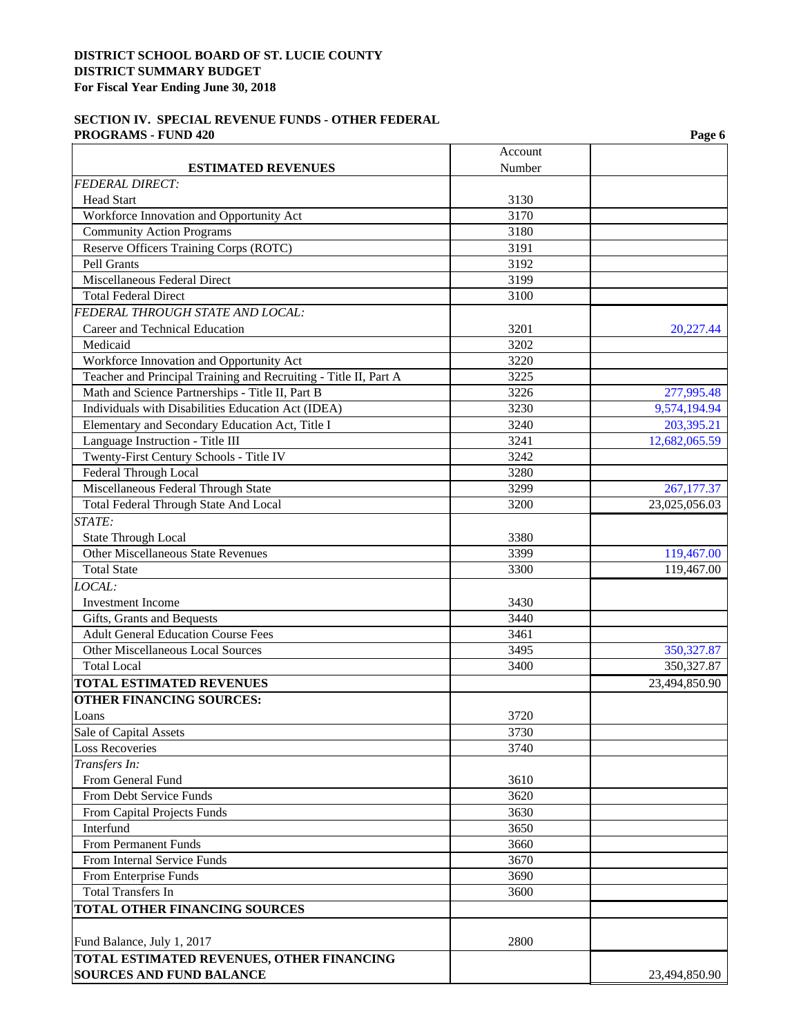## **SECTION IV. SPECIAL REVENUE FUNDS - OTHER FEDERAL PROGRAMS - FUND 420** Page 6

|                                                                         | Account |               |
|-------------------------------------------------------------------------|---------|---------------|
| <b>ESTIMATED REVENUES</b>                                               | Number  |               |
| <b>FEDERAL DIRECT:</b>                                                  |         |               |
| <b>Head Start</b>                                                       | 3130    |               |
| Workforce Innovation and Opportunity Act                                | 3170    |               |
| <b>Community Action Programs</b>                                        | 3180    |               |
| Reserve Officers Training Corps (ROTC)                                  | 3191    |               |
| Pell Grants                                                             | 3192    |               |
| Miscellaneous Federal Direct                                            | 3199    |               |
| <b>Total Federal Direct</b>                                             | 3100    |               |
| FEDERAL THROUGH STATE AND LOCAL:                                        |         |               |
| Career and Technical Education                                          | 3201    | 20,227.44     |
| Medicaid                                                                | 3202    |               |
| Workforce Innovation and Opportunity Act                                | 3220    |               |
| Teacher and Principal Training and Recruiting - Title II, Part A        | 3225    |               |
| Math and Science Partnerships - Title II, Part B                        | 3226    | 277,995.48    |
| Individuals with Disabilities Education Act (IDEA)                      | 3230    | 9,574,194.94  |
| Elementary and Secondary Education Act, Title I                         | 3240    | 203,395.21    |
| Language Instruction - Title III                                        | 3241    | 12,682,065.59 |
| Twenty-First Century Schools - Title IV                                 | 3242    |               |
| Federal Through Local                                                   | 3280    |               |
| Miscellaneous Federal Through State                                     | 3299    | 267,177.37    |
| Total Federal Through State And Local                                   | 3200    | 23,025,056.03 |
| STATE:                                                                  |         |               |
|                                                                         |         |               |
| <b>State Through Local</b><br><b>Other Miscellaneous State Revenues</b> | 3380    |               |
|                                                                         | 3399    | 119,467.00    |
| <b>Total State</b>                                                      | 3300    | 119,467.00    |
| LOCAL:                                                                  |         |               |
| <b>Investment</b> Income                                                | 3430    |               |
| Gifts, Grants and Bequests                                              | 3440    |               |
| <b>Adult General Education Course Fees</b>                              | 3461    |               |
| Other Miscellaneous Local Sources                                       | 3495    | 350,327.87    |
| <b>Total Local</b>                                                      | 3400    | 350, 327.87   |
| <b>TOTAL ESTIMATED REVENUES</b>                                         |         | 23,494,850.90 |
| <b>OTHER FINANCING SOURCES:</b>                                         |         |               |
| Loans                                                                   | 3720    |               |
| Sale of Capital Assets                                                  | 3730    |               |
| <b>Loss Recoveries</b>                                                  | 3740    |               |
| Transfers In:                                                           |         |               |
| From General Fund                                                       | 3610    |               |
| From Debt Service Funds                                                 | 3620    |               |
| From Capital Projects Funds                                             | 3630    |               |
| Interfund                                                               | 3650    |               |
| From Permanent Funds                                                    | 3660    |               |
| From Internal Service Funds                                             | 3670    |               |
| From Enterprise Funds                                                   | 3690    |               |
| <b>Total Transfers In</b>                                               | 3600    |               |
| <b>TOTAL OTHER FINANCING SOURCES</b>                                    |         |               |
|                                                                         |         |               |
| Fund Balance, July 1, 2017                                              | 2800    |               |
| TOTAL ESTIMATED REVENUES, OTHER FINANCING                               |         |               |
| <b>SOURCES AND FUND BALANCE</b>                                         |         | 23,494,850.90 |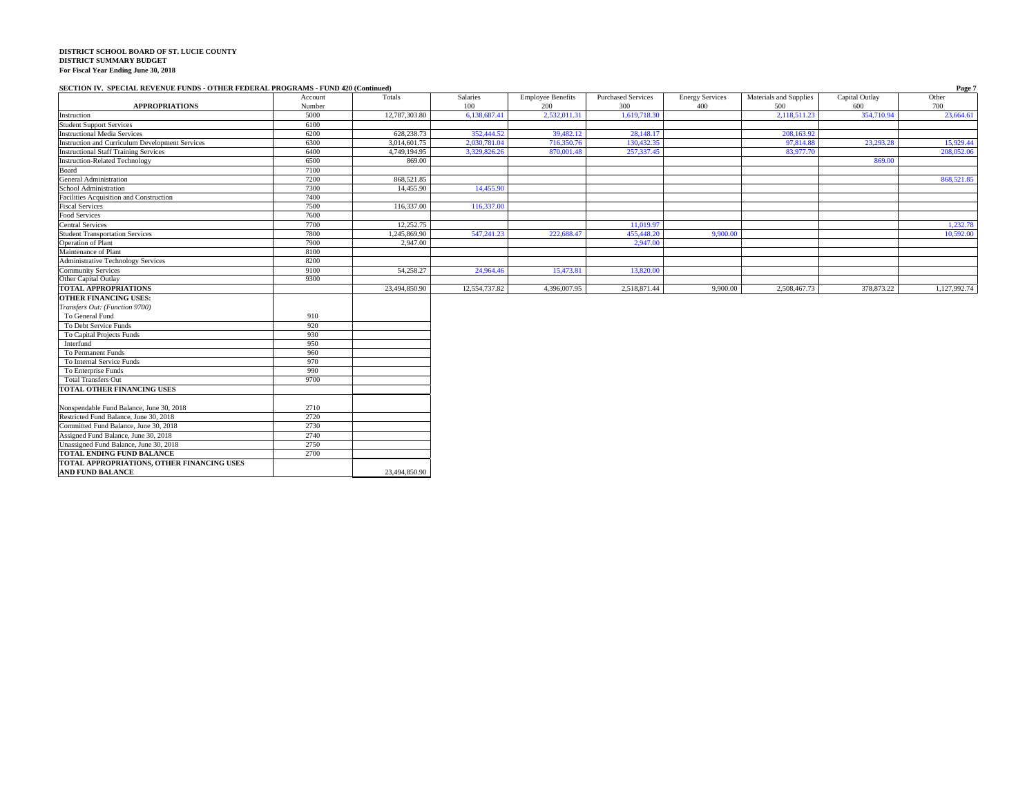#### **SECTION IV. SPECIAL REVENUE FUNDS - OTHER FEDERAL PROGRAMS - FUND 420 (Continued) Page 7**

| <b>APPROPRIATIONS</b>                                  | Account<br>Number | Totals        | Salaries<br>100 | <b>Employee Benefits</b><br>200 | <b>Purchased Services</b><br>300 | <b>Energy Services</b><br>400 | Materials and Supplies<br>500 | Capital Outlay<br>600 | Other<br>700 |
|--------------------------------------------------------|-------------------|---------------|-----------------|---------------------------------|----------------------------------|-------------------------------|-------------------------------|-----------------------|--------------|
| Instruction                                            | 5000              | 12,787,303.80 | 6.138.687.41    | 2,532,011.31                    | 1,619,718.30                     |                               | 2,118,511.23                  | 354,710.94            | 23,664.61    |
| <b>Student Support Services</b>                        | 6100              |               |                 |                                 |                                  |                               |                               |                       |              |
| <b>Instructional Media Services</b>                    | 6200              | 628,238,73    | 352,444.52      | 39,482.12                       | 28,148.17                        |                               | 208,163.92                    |                       |              |
| <b>Instruction and Curriculum Development Services</b> | 6300              | 3,014,601.75  | 2,030,781.04    | 716,350.76                      | 130,432.35                       |                               | 97,814.88                     | 23,293.28             | 15,929.44    |
| <b>Instructional Staff Training Services</b>           | 6400              | 4,749,194.95  | 3,329,826.26    | 870,001.48                      | 257,337.45                       |                               | 83,977.70                     |                       | 208,052.06   |
| <b>Instruction-Related Technology</b>                  | 6500              | 869.00        |                 |                                 |                                  |                               |                               | 869.00                |              |
| Board                                                  | 7100              |               |                 |                                 |                                  |                               |                               |                       |              |
| <b>General Administration</b>                          | 7200              | 868,521.85    |                 |                                 |                                  |                               |                               |                       | 868,521.85   |
| School Administration                                  | 7300              | 14,455.90     | 14,455.90       |                                 |                                  |                               |                               |                       |              |
| Facilities Acquisition and Construction                | 7400              |               |                 |                                 |                                  |                               |                               |                       |              |
| <b>Fiscal Services</b>                                 | 7500              | 116,337.00    | 116,337.00      |                                 |                                  |                               |                               |                       |              |
| Food Services                                          | 7600              |               |                 |                                 |                                  |                               |                               |                       |              |
| <b>Central Services</b>                                | 7700              | 12,252.75     |                 |                                 | 11,019.97                        |                               |                               |                       | 1,232.78     |
| <b>Student Transportation Services</b>                 | 7800              | 1,245,869.90  | 547,241.23      | 222,688.47                      | 455,448.20                       | 9,900.00                      |                               |                       | 10,592.00    |
| <b>Operation of Plant</b>                              | 7900              | 2.947.00      |                 |                                 | 2,947.00                         |                               |                               |                       |              |
| Maintenance of Plant                                   | 8100              |               |                 |                                 |                                  |                               |                               |                       |              |
| <b>Administrative Technology Services</b>              | 8200              |               |                 |                                 |                                  |                               |                               |                       |              |
| <b>Community Services</b>                              | 9100              | 54,258.27     | 24,964.46       | 15,473.81                       | 13,820.00                        |                               |                               |                       |              |
| Other Capital Outlay                                   | 9300              |               |                 |                                 |                                  |                               |                               |                       |              |
| TOTAL APPROPRIATIONS                                   |                   | 23.494.850.90 | 12,554,737.82   | 4,396,007.95                    | 2,518,871.44                     | 9,900.00                      | 2,508,467.73                  | 378,873.22            | 1,127,992.74 |
| <b>OTHER FINANCING USES:</b>                           |                   |               |                 |                                 |                                  |                               |                               |                       |              |
| Transfers Out: (Function 9700)                         |                   |               |                 |                                 |                                  |                               |                               |                       |              |
| To General Fund                                        | 910               |               |                 |                                 |                                  |                               |                               |                       |              |
| To Debt Service Funds                                  | 920               |               |                 |                                 |                                  |                               |                               |                       |              |
| To Capital Projects Funds                              | 930               |               |                 |                                 |                                  |                               |                               |                       |              |
| Interfund                                              | 950               |               |                 |                                 |                                  |                               |                               |                       |              |
| To Permanent Funds                                     | 960               |               |                 |                                 |                                  |                               |                               |                       |              |
| To Internal Service Funds                              | 970               |               |                 |                                 |                                  |                               |                               |                       |              |
| To Enterprise Funds                                    | 990               |               |                 |                                 |                                  |                               |                               |                       |              |
| <b>Total Transfers Out</b>                             | 9700              |               |                 |                                 |                                  |                               |                               |                       |              |
| TOTAL OTHER FINANCING USES                             |                   |               |                 |                                 |                                  |                               |                               |                       |              |
| Nonspendable Fund Balance, June 30, 2018               | 2710              |               |                 |                                 |                                  |                               |                               |                       |              |
| Restricted Fund Balance, June 30, 2018                 | 2720              |               |                 |                                 |                                  |                               |                               |                       |              |
|                                                        |                   |               |                 |                                 |                                  |                               |                               |                       |              |
| Committed Fund Balance, June 30, 2018                  | 2730              |               |                 |                                 |                                  |                               |                               |                       |              |
| Assigned Fund Balance, June 30, 2018                   | 2740              |               |                 |                                 |                                  |                               |                               |                       |              |
| Unassigned Fund Balance, June 30, 2018                 | 2750              |               |                 |                                 |                                  |                               |                               |                       |              |
| TOTAL ENDING FUND BALANCE                              | 2700              |               |                 |                                 |                                  |                               |                               |                       |              |
| TOTAL APPROPRIATIONS, OTHER FINANCING USES             |                   |               |                 |                                 |                                  |                               |                               |                       |              |

**TOTAL APPROPRIATIONS, OTHER FINANCING USES AND FUND BALANCE** 23,494,850.90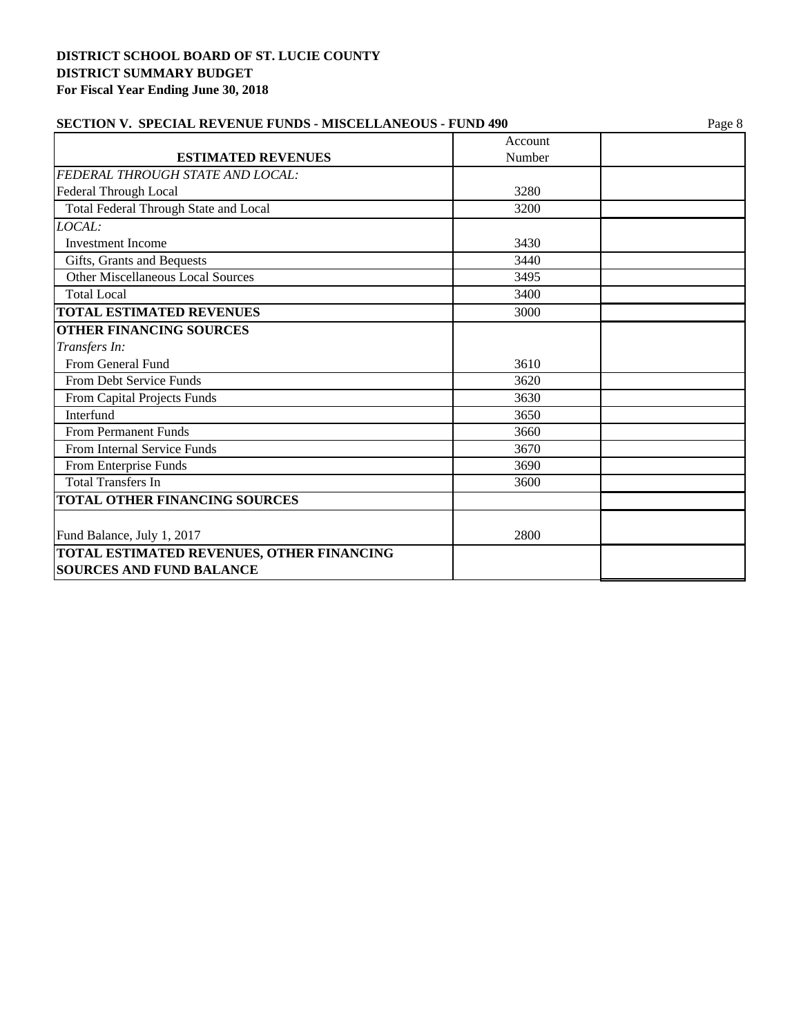| SECTION V. SPECIAL REVENUE FUNDS - MISCELLANEOUS - FUND 490 | Page 8 |  |  |
|-------------------------------------------------------------|--------|--|--|
| Account                                                     |        |  |  |
| Number                                                      |        |  |  |
|                                                             |        |  |  |
| 3280                                                        |        |  |  |
| 3200                                                        |        |  |  |
|                                                             |        |  |  |
| 3430                                                        |        |  |  |
| 3440                                                        |        |  |  |
| 3495                                                        |        |  |  |
| 3400                                                        |        |  |  |
| 3000                                                        |        |  |  |
|                                                             |        |  |  |
|                                                             |        |  |  |
| 3610                                                        |        |  |  |
| 3620                                                        |        |  |  |
| 3630                                                        |        |  |  |
| 3650                                                        |        |  |  |
| 3660                                                        |        |  |  |
| 3670                                                        |        |  |  |
| 3690                                                        |        |  |  |
| 3600                                                        |        |  |  |
|                                                             |        |  |  |
|                                                             |        |  |  |
|                                                             |        |  |  |
|                                                             |        |  |  |
|                                                             | 2800   |  |  |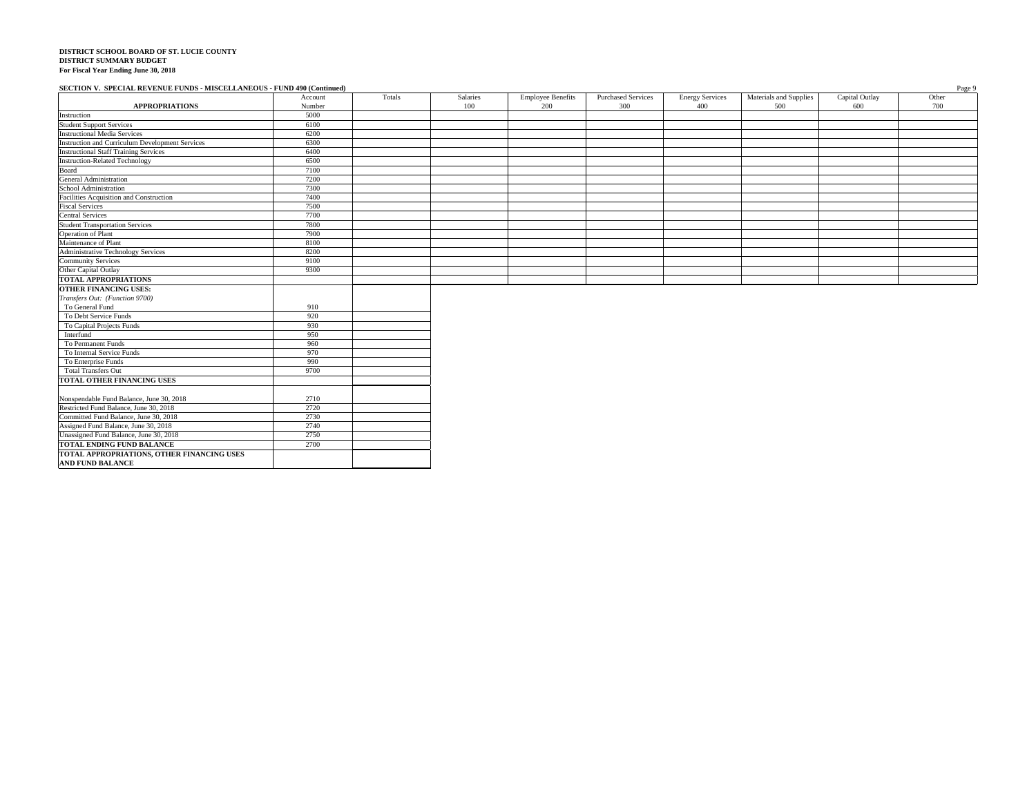## **SECTION V. SPECIAL REVENUE FUNDS - MISCELLANEOUS - FUND 490 (Continued)** Page 9

|                                                        | Account | Totals | Salaries | <b>Employee Benefits</b> | <b>Purchased Services</b> | <b>Energy Services</b> | Materials and Supplies | Capital Outlay | Other |
|--------------------------------------------------------|---------|--------|----------|--------------------------|---------------------------|------------------------|------------------------|----------------|-------|
| <b>APPROPRIATIONS</b>                                  | Number  |        | 100      | 200                      | 300                       | 400                    | 500                    | 600            | 700   |
| Instruction                                            | 5000    |        |          |                          |                           |                        |                        |                |       |
| <b>Student Support Services</b>                        | 6100    |        |          |                          |                           |                        |                        |                |       |
| <b>Instructional Media Services</b>                    | 6200    |        |          |                          |                           |                        |                        |                |       |
| <b>Instruction and Curriculum Development Services</b> | 6300    |        |          |                          |                           |                        |                        |                |       |
| <b>Instructional Staff Training Services</b>           | 6400    |        |          |                          |                           |                        |                        |                |       |
| <b>Instruction-Related Technology</b>                  | 6500    |        |          |                          |                           |                        |                        |                |       |
| Board                                                  | 7100    |        |          |                          |                           |                        |                        |                |       |
| <b>General Administration</b>                          | 7200    |        |          |                          |                           |                        |                        |                |       |
| School Administration                                  | 7300    |        |          |                          |                           |                        |                        |                |       |
| Facilities Acquisition and Construction                | 7400    |        |          |                          |                           |                        |                        |                |       |
| <b>Fiscal Services</b>                                 | 7500    |        |          |                          |                           |                        |                        |                |       |
| <b>Central Services</b>                                | 7700    |        |          |                          |                           |                        |                        |                |       |
| <b>Student Transportation Services</b>                 | 7800    |        |          |                          |                           |                        |                        |                |       |
| Operation of Plant                                     | 7900    |        |          |                          |                           |                        |                        |                |       |
| Maintenance of Plant                                   | 8100    |        |          |                          |                           |                        |                        |                |       |
| <b>Administrative Technology Services</b>              | 8200    |        |          |                          |                           |                        |                        |                |       |
| <b>Community Services</b>                              | 9100    |        |          |                          |                           |                        |                        |                |       |
| Other Capital Outlay                                   | 9300    |        |          |                          |                           |                        |                        |                |       |
| <b>TOTAL APPROPRIATIONS</b>                            |         |        |          |                          |                           |                        |                        |                |       |
| <b>OTHER FINANCING USES:</b>                           |         |        |          |                          |                           |                        |                        |                |       |
| Transfers Out: (Function 9700)                         |         |        |          |                          |                           |                        |                        |                |       |
| To General Fund                                        | 910     |        |          |                          |                           |                        |                        |                |       |
| To Debt Service Funds                                  | 920     |        |          |                          |                           |                        |                        |                |       |
| To Capital Projects Funds                              | 930     |        |          |                          |                           |                        |                        |                |       |
| Interfund                                              | 950     |        |          |                          |                           |                        |                        |                |       |
| To Permanent Funds                                     | 960     |        |          |                          |                           |                        |                        |                |       |
| To Internal Service Funds                              | 970     |        |          |                          |                           |                        |                        |                |       |
| To Enterprise Funds                                    | 990     |        |          |                          |                           |                        |                        |                |       |
| <b>Total Transfers Out</b>                             | 9700    |        |          |                          |                           |                        |                        |                |       |
| TOTAL OTHER FINANCING USES                             |         |        |          |                          |                           |                        |                        |                |       |
|                                                        |         |        |          |                          |                           |                        |                        |                |       |
| Nonspendable Fund Balance, June 30, 2018               | 2710    |        |          |                          |                           |                        |                        |                |       |
| Restricted Fund Balance, June 30, 2018                 | 2720    |        |          |                          |                           |                        |                        |                |       |
| Committed Fund Balance, June 30, 2018                  | 2730    |        |          |                          |                           |                        |                        |                |       |
| Assigned Fund Balance, June 30, 2018                   | 2740    |        |          |                          |                           |                        |                        |                |       |
| Unassigned Fund Balance, June 30, 2018                 | 2750    |        |          |                          |                           |                        |                        |                |       |
| TOTAL ENDING FUND BALANCE                              | 2700    |        |          |                          |                           |                        |                        |                |       |
| TOTAL APPROPRIATIONS, OTHER FINANCING USES             |         |        |          |                          |                           |                        |                        |                |       |
| <b>AND FUND BALANCE</b>                                |         |        |          |                          |                           |                        |                        |                |       |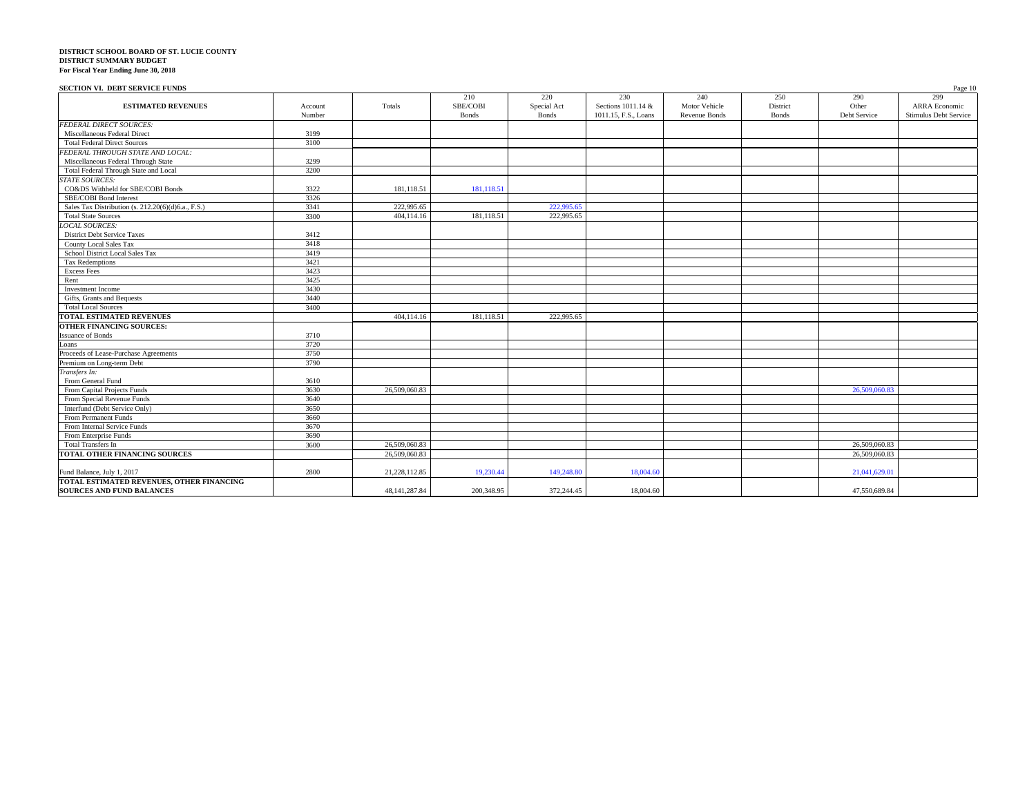#### **SECTION VI. DEBT SERVICE FUNDS** Page 10

|                                                    |         |                  | 210          | 220         | 230                  | 240           | 250          | 290           | 299                   |
|----------------------------------------------------|---------|------------------|--------------|-------------|----------------------|---------------|--------------|---------------|-----------------------|
| <b>ESTIMATED REVENUES</b>                          | Account | Totals           | SBE/COBI     | Special Act | Sections 1011.14 &   | Motor Vehicle | District     | Other         | <b>ARRA</b> Economic  |
|                                                    | Number  |                  | <b>Bonds</b> | Bonds       | 1011.15, F.S., Loans | Revenue Bonds | <b>Bonds</b> | Debt Service  | Stimulus Debt Service |
| <b>FEDERAL DIRECT SOURCES:</b>                     |         |                  |              |             |                      |               |              |               |                       |
| Miscellaneous Federal Direct                       | 3199    |                  |              |             |                      |               |              |               |                       |
| <b>Total Federal Direct Sources</b>                | 3100    |                  |              |             |                      |               |              |               |                       |
| FEDERAL THROUGH STATE AND LOCAL:                   |         |                  |              |             |                      |               |              |               |                       |
| Miscellaneous Federal Through State                | 3299    |                  |              |             |                      |               |              |               |                       |
| Total Federal Through State and Local              | 3200    |                  |              |             |                      |               |              |               |                       |
| <b>STATE SOURCES:</b>                              |         |                  |              |             |                      |               |              |               |                       |
| CO&DS Withheld for SBE/COBI Bonds                  | 3322    | 181,118.51       | 181,118.51   |             |                      |               |              |               |                       |
| SBE/COBI Bond Interest                             | 3326    |                  |              |             |                      |               |              |               |                       |
| Sales Tax Distribution (s. 212.20(6)(d)6.a., F.S.) | 3341    | 222,995.65       |              | 222,995.65  |                      |               |              |               |                       |
| <b>Total State Sources</b>                         | 3300    | 404,114.16       | 181,118.51   | 222,995.65  |                      |               |              |               |                       |
| <b>LOCAL SOURCES:</b>                              |         |                  |              |             |                      |               |              |               |                       |
| <b>District Debt Service Taxes</b>                 | 3412    |                  |              |             |                      |               |              |               |                       |
| County Local Sales Tax                             | 3418    |                  |              |             |                      |               |              |               |                       |
| School District Local Sales Tax                    | 3419    |                  |              |             |                      |               |              |               |                       |
| Tax Redemptions                                    | 3421    |                  |              |             |                      |               |              |               |                       |
| Excess Fees                                        | 3423    |                  |              |             |                      |               |              |               |                       |
| Rent                                               | 3425    |                  |              |             |                      |               |              |               |                       |
| Investment Income                                  | 3430    |                  |              |             |                      |               |              |               |                       |
| Gifts, Grants and Bequests                         | 3440    |                  |              |             |                      |               |              |               |                       |
| <b>Total Local Sources</b>                         | 3400    |                  |              |             |                      |               |              |               |                       |
| <b>TOTAL ESTIMATED REVENUES</b>                    |         | 404,114.16       | 181,118.51   | 222,995.65  |                      |               |              |               |                       |
| <b>OTHER FINANCING SOURCES:</b>                    |         |                  |              |             |                      |               |              |               |                       |
| <b>Issuance of Bonds</b>                           | 3710    |                  |              |             |                      |               |              |               |                       |
| Loans                                              | 3720    |                  |              |             |                      |               |              |               |                       |
| Proceeds of Lease-Purchase Agreements              | 3750    |                  |              |             |                      |               |              |               |                       |
| Premium on Long-term Debt                          | 3790    |                  |              |             |                      |               |              |               |                       |
| Transfers In:                                      |         |                  |              |             |                      |               |              |               |                       |
| From General Fund                                  | 3610    |                  |              |             |                      |               |              |               |                       |
| From Capital Projects Funds                        | 3630    | 26,509,060.83    |              |             |                      |               |              | 26,509,060.83 |                       |
| From Special Revenue Funds                         | 3640    |                  |              |             |                      |               |              |               |                       |
| Interfund (Debt Service Only)                      | 3650    |                  |              |             |                      |               |              |               |                       |
| From Permanent Funds                               | 3660    |                  |              |             |                      |               |              |               |                       |
| From Internal Service Funds                        | 3670    |                  |              |             |                      |               |              |               |                       |
| From Enterprise Funds                              | 3690    |                  |              |             |                      |               |              |               |                       |
| <b>Total Transfers In</b>                          | 3600    | 26,509,060.83    |              |             |                      |               |              | 26,509,060.83 |                       |
| TOTAL OTHER FINANCING SOURCES                      |         | 26,509,060.83    |              |             |                      |               |              | 26,509,060.83 |                       |
|                                                    |         |                  |              |             |                      |               |              |               |                       |
| Fund Balance, July 1, 2017                         | 2800    | 21,228,112.85    | 19,230.44    | 149,248.80  | 18,004.60            |               |              | 21.041.629.01 |                       |
| TOTAL ESTIMATED REVENUES, OTHER FINANCING          |         |                  |              |             |                      |               |              |               |                       |
| <b>SOURCES AND FUND BALANCES</b>                   |         | 48, 141, 287. 84 | 200,348.95   | 372,244.45  | 18,004.60            |               |              | 47,550,689.84 |                       |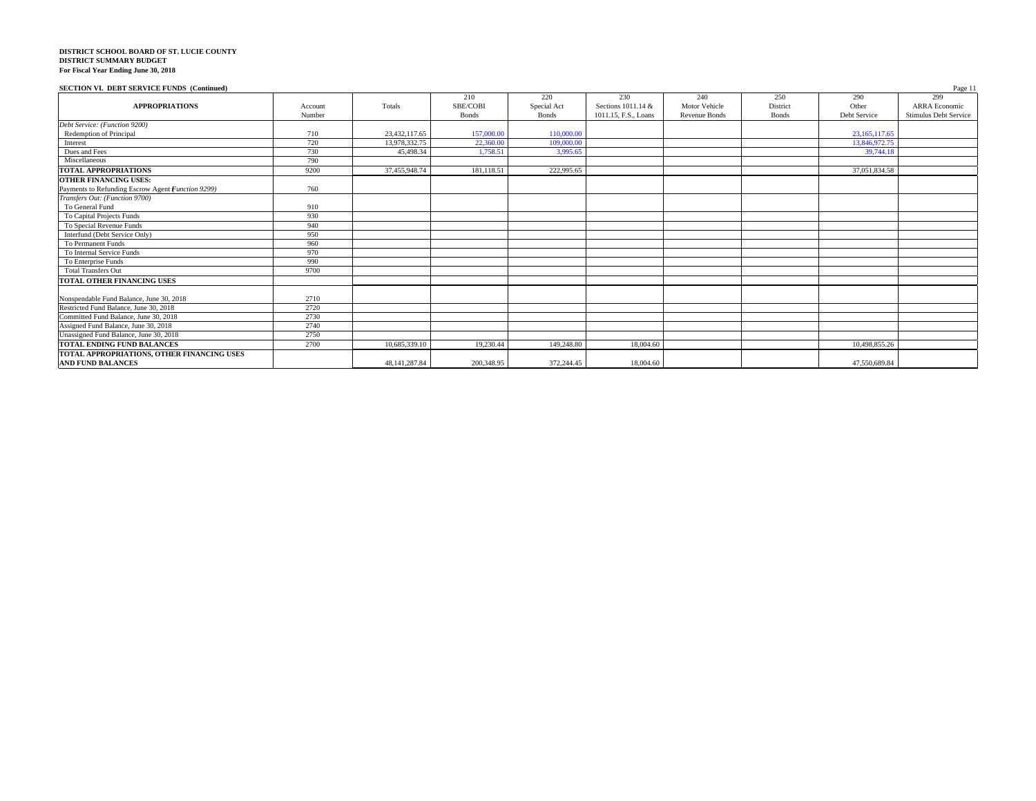### **SECTION VI. DEBT SERVICE FUNDS (Continued)** Page 11

|                                                   |         |                  | 210          | 220          | 230                  | 240                  | 250          | 290           | $\ldots$<br>299       |
|---------------------------------------------------|---------|------------------|--------------|--------------|----------------------|----------------------|--------------|---------------|-----------------------|
| <b>APPROPRIATIONS</b>                             | Account | Totals           | SBE/COBI     | Special Act  | Sections 1011.14 &   | Motor Vehicle        | District     | Other         | <b>ARRA</b> Economic  |
|                                                   | Number  |                  | <b>Bonds</b> | <b>Bonds</b> | 1011.15, F.S., Loans | <b>Revenue Bonds</b> | <b>Bonds</b> | Debt Service  | Stimulus Debt Service |
| Debt Service: (Function 9200)                     |         |                  |              |              |                      |                      |              |               |                       |
| Redemption of Principal                           | 710     | 23,432,117.65    | 157,000.00   | 110,000,00   |                      |                      |              | 23,165,117.65 |                       |
| Interest                                          | 720     | 13,978,332.75    | 22,360,00    | 109,000,00   |                      |                      |              | 13,846,972.75 |                       |
| Dues and Fees                                     | 730     | 45,498.34        | 1.758.51     | 3.995.65     |                      |                      |              | 39,744.18     |                       |
| Miscellaneous                                     | 790     |                  |              |              |                      |                      |              |               |                       |
| <b>TOTAL APPROPRIATIONS</b>                       | 9200    | 37,455,948.74    | 181,118.51   | 222,995.65   |                      |                      |              | 37,051,834.58 |                       |
| <b>OTHER FINANCING USES:</b>                      |         |                  |              |              |                      |                      |              |               |                       |
| Payments to Refunding Escrow Agent Function 9299) | 760     |                  |              |              |                      |                      |              |               |                       |
| Transfers Out: (Function 9700)                    |         |                  |              |              |                      |                      |              |               |                       |
| To General Fund                                   | 910     |                  |              |              |                      |                      |              |               |                       |
| To Capital Projects Funds                         | 930     |                  |              |              |                      |                      |              |               |                       |
| To Special Revenue Funds                          | 940     |                  |              |              |                      |                      |              |               |                       |
| Interfund (Debt Service Only)                     | 950     |                  |              |              |                      |                      |              |               |                       |
| To Permanent Funds                                | 960     |                  |              |              |                      |                      |              |               |                       |
| To Internal Service Funds                         | 970     |                  |              |              |                      |                      |              |               |                       |
| To Enterprise Funds                               | 990     |                  |              |              |                      |                      |              |               |                       |
| <b>Total Transfers Out</b>                        | 9700    |                  |              |              |                      |                      |              |               |                       |
| TOTAL OTHER FINANCING USES                        |         |                  |              |              |                      |                      |              |               |                       |
|                                                   |         |                  |              |              |                      |                      |              |               |                       |
| Nonspendable Fund Balance, June 30, 2018          | 2710    |                  |              |              |                      |                      |              |               |                       |
| Restricted Fund Balance, June 30, 2018            | 2720    |                  |              |              |                      |                      |              |               |                       |
| Committed Fund Balance, June 30, 2018             | 2730    |                  |              |              |                      |                      |              |               |                       |
| Assigned Fund Balance, June 30, 2018              | 2740    |                  |              |              |                      |                      |              |               |                       |
| Unassigned Fund Balance, June 30, 2018            | 2750    |                  |              |              |                      |                      |              |               |                       |
| <b>TOTAL ENDING FUND BALANCES</b>                 | 2700    | 10,685,339.10    | 19,230.44    | 149,248.80   | 18,004.60            |                      |              | 10,498,855.26 |                       |
| TOTAL APPROPRIATIONS, OTHER FINANCING USES        |         |                  |              |              |                      |                      |              |               |                       |
| <b>AND FUND BALANCES</b>                          |         | 48, 141, 287. 84 | 200,348.95   | 372,244.45   | 18,004.60            |                      |              | 47,550,689.84 |                       |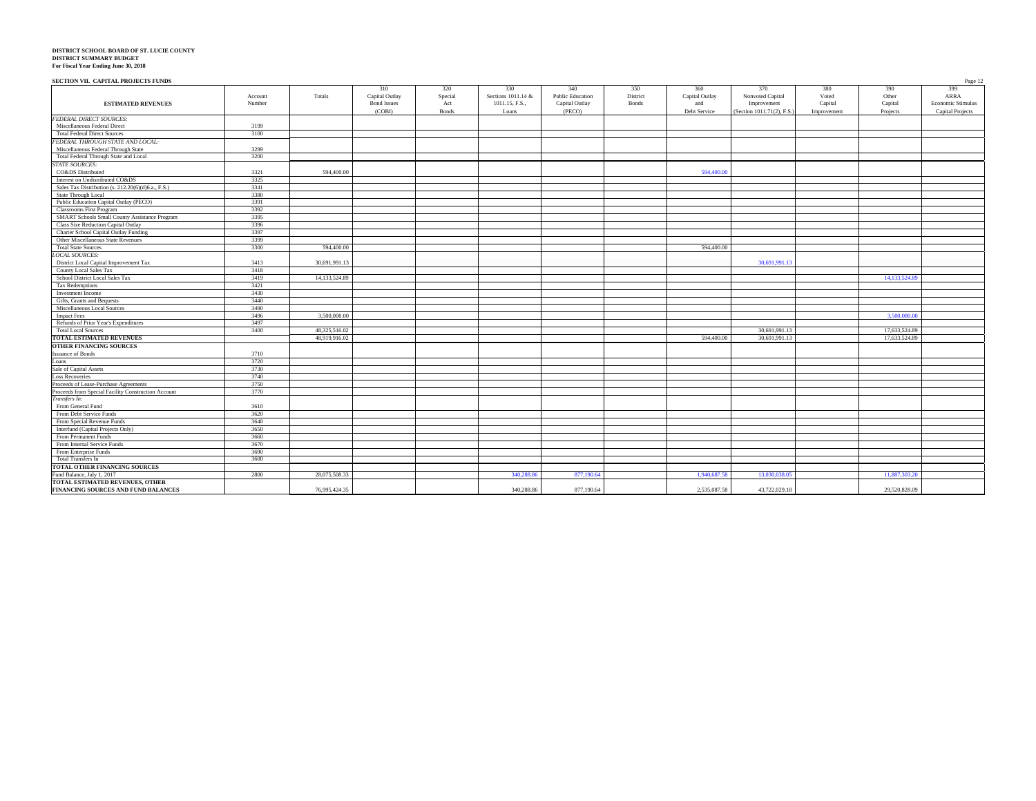| SECTION VII. CAPITAL PROJECTS FUNDS                         |               |                    |              |                    |                         |          |                |                           |             |               | Page 12           |
|-------------------------------------------------------------|---------------|--------------------|--------------|--------------------|-------------------------|----------|----------------|---------------------------|-------------|---------------|-------------------|
|                                                             |               | 310                | 320          | 330                | 340                     | 350      | 360            | 370                       | 380         | 390           | 399               |
| Account                                                     | Totals        | Capital Outlay     | Special      | Sections 1011.14 & | <b>Public Education</b> | District | Capital Outlay | Nonvoted Capital          | Voted       | Other         | ARRA              |
| <b>ESTIMATED REVENUES</b><br>Number                         |               | <b>Bond Issues</b> | Act          | 1011.15, F.S.,     | Capital Outlay          | Bonds    | and            | Improvement               | Capital     | Capital       | Economic Stimulus |
|                                                             |               | (COBI)             | <b>Bonds</b> | Loans              | (PECO)                  |          | Debt Service   | (Section 1011.71(2), F.S. | Improvement | Projects      | Capital Projects  |
| <b>FEDERAL DIRECT SOURCES:</b>                              |               |                    |              |                    |                         |          |                |                           |             |               |                   |
| Miscellaneous Federal Direct<br>3199                        |               |                    |              |                    |                         |          |                |                           |             |               |                   |
| <b>Total Federal Direct Sources</b><br>3100                 |               |                    |              |                    |                         |          |                |                           |             |               |                   |
| FEDERAL THROUGH STATE AND LOCAL:                            |               |                    |              |                    |                         |          |                |                           |             |               |                   |
| Miscellaneous Federal Through State<br>3299                 |               |                    |              |                    |                         |          |                |                           |             |               |                   |
| 3200<br>Total Federal Through State and Local               |               |                    |              |                    |                         |          |                |                           |             |               |                   |
| <b>STATE SOURCES:</b>                                       |               |                    |              |                    |                         |          |                |                           |             |               |                   |
| CO&DS Distributed<br>3321                                   | 594,400.00    |                    |              |                    |                         |          | 594,400.00     |                           |             |               |                   |
| Interest on Undistributed CO&DS<br>3325                     |               |                    |              |                    |                         |          |                |                           |             |               |                   |
| 3341<br>Sales Tax Distribution (s. 212.20(6)(d)6.a., F.S.)  |               |                    |              |                    |                         |          |                |                           |             |               |                   |
| 3380<br>State Through Local                                 |               |                    |              |                    |                         |          |                |                           |             |               |                   |
| Public Education Capital Outlay (PECO)<br>3391              |               |                    |              |                    |                         |          |                |                           |             |               |                   |
| <b>Classrooms First Program</b><br>3392                     |               |                    |              |                    |                         |          |                |                           |             |               |                   |
| SMART Schools Small County Assistance Program<br>3395       |               |                    |              |                    |                         |          |                |                           |             |               |                   |
| 3396<br>Class Size Reduction Capital Outlay                 |               |                    |              |                    |                         |          |                |                           |             |               |                   |
| Charter School Capital Outlay Funding<br>3397               |               |                    |              |                    |                         |          |                |                           |             |               |                   |
| Other Miscellaneous State Revenues<br>3399                  |               |                    |              |                    |                         |          |                |                           |             |               |                   |
| 3300<br><b>Total State Sources</b>                          | 594,400.00    |                    |              |                    |                         |          | 594,400.00     |                           |             |               |                   |
| <b>LOCAL SOURCES:</b>                                       |               |                    |              |                    |                         |          |                |                           |             |               |                   |
| District Local Capital Improvement Tax<br>3413              | 30.691.991.13 |                    |              |                    |                         |          |                | 30,691,991.13             |             |               |                   |
| 3418<br>County Local Sales Tax                              |               |                    |              |                    |                         |          |                |                           |             |               |                   |
| School District Local Sales Tax<br>3419                     | 14,133,524.89 |                    |              |                    |                         |          |                |                           |             | 14,133,524.89 |                   |
| <b>Tax Redemptions</b><br>3421                              |               |                    |              |                    |                         |          |                |                           |             |               |                   |
| 3430<br>Investment Income                                   |               |                    |              |                    |                         |          |                |                           |             |               |                   |
| Gifts, Grants and Bequests<br>3440                          |               |                    |              |                    |                         |          |                |                           |             |               |                   |
| 3490<br>Miscellaneous Local Sources                         |               |                    |              |                    |                         |          |                |                           |             |               |                   |
| 3496<br><b>Impact Fees</b>                                  | 3,500,000.00  |                    |              |                    |                         |          |                |                           |             | 3,500,000,00  |                   |
| 3497<br>Refunds of Prior Year's Expenditures                |               |                    |              |                    |                         |          |                |                           |             |               |                   |
| 3400<br><b>Total Local Sources</b>                          | 48,325,516.02 |                    |              |                    |                         |          |                | 30,691,991.13             |             | 17,633,524.89 |                   |
| TOTAL ESTIMATED REVENUES                                    | 48,919,916.02 |                    |              |                    |                         |          | 594,400.00     | 30,691,991.13             |             | 17,633,524.89 |                   |
| OTHER FINANCING SOURCES                                     |               |                    |              |                    |                         |          |                |                           |             |               |                   |
| 3710<br><b>Issuance of Bonds</b>                            |               |                    |              |                    |                         |          |                |                           |             |               |                   |
| 3720<br>Loans                                               |               |                    |              |                    |                         |          |                |                           |             |               |                   |
| Sale of Capital Assets<br>3730                              |               |                    |              |                    |                         |          |                |                           |             |               |                   |
| 3740<br><b>Loss Recoveries</b>                              |               |                    |              |                    |                         |          |                |                           |             |               |                   |
| Proceeds of Lease-Purchase Agreements<br>3750               |               |                    |              |                    |                         |          |                |                           |             |               |                   |
| 3770<br>Proceeds from Special Facility Construction Account |               |                    |              |                    |                         |          |                |                           |             |               |                   |
| Transfers In:                                               |               |                    |              |                    |                         |          |                |                           |             |               |                   |
| 3610<br>From General Fund                                   |               |                    |              |                    |                         |          |                |                           |             |               |                   |
| 3620<br>From Debt Service Funds                             |               |                    |              |                    |                         |          |                |                           |             |               |                   |
| 3640<br>From Special Revenue Funds                          |               |                    |              |                    |                         |          |                |                           |             |               |                   |
| Interfund (Capital Projects Only)<br>3650                   |               |                    |              |                    |                         |          |                |                           |             |               |                   |
| 3660<br>From Permanent Funds                                |               |                    |              |                    |                         |          |                |                           |             |               |                   |
| 3670<br>From Internal Service Funds                         |               |                    |              |                    |                         |          |                |                           |             |               |                   |
| From Enterprise Funds<br>3690                               |               |                    |              |                    |                         |          |                |                           |             |               |                   |
| 3600<br>Total Transfers In                                  |               |                    |              |                    |                         |          |                |                           |             |               |                   |
| TOTAL OTHER FINANCING SOURCES                               |               |                    |              |                    |                         |          |                |                           |             |               |                   |
| Fund Balance, July 1, 2017<br>2800                          | 28,075,508.33 |                    |              | 340,288.86         | 877,190.64              |          | 1,940,687.58   | 13.030.038.05             |             | 11.887.303.20 |                   |
| TOTAL ESTIMATED REVENUES, OTHER                             |               |                    |              |                    |                         |          |                |                           |             |               |                   |
| FINANCING SOURCES AND FUND BALANCES                         | 76.995.424.35 |                    |              | 340.288.86         | 877,190.64              |          | 2.535.087.58   | 43,722,029.18             |             | 29.520.828.09 |                   |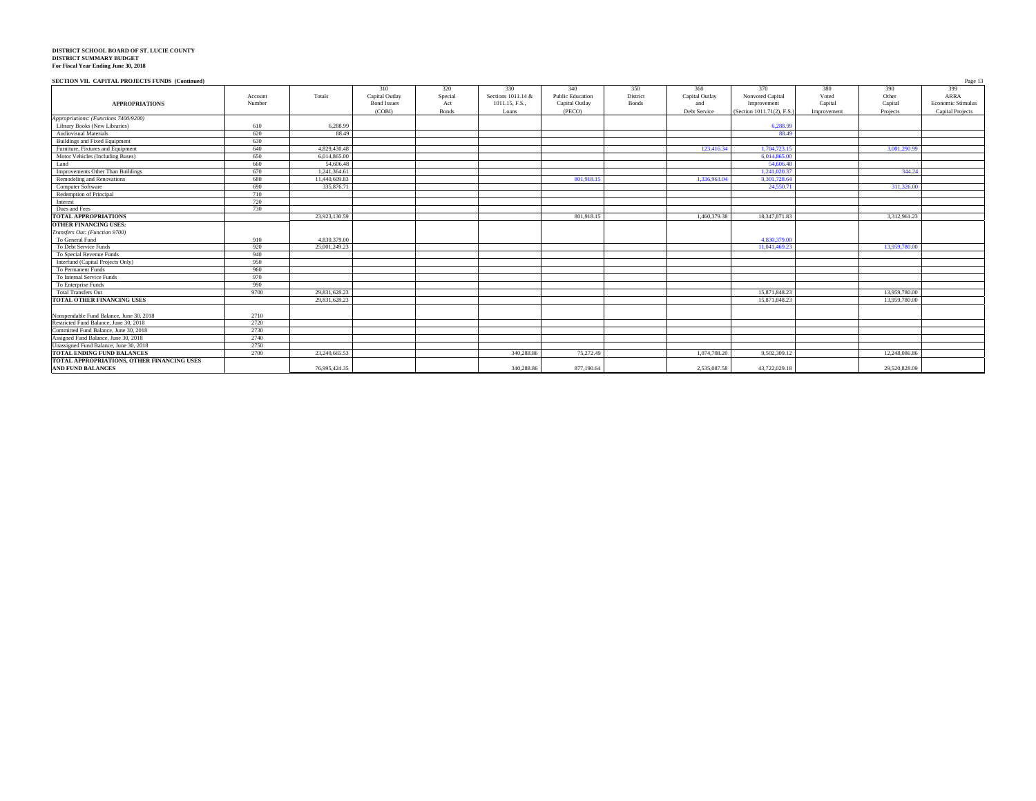| SECTION VII. CAPITAL PROJECTS FUNDS (Continued) |         |               |                    |              |                    |                         |              |                |                           |             |               | Page 13                 |
|-------------------------------------------------|---------|---------------|--------------------|--------------|--------------------|-------------------------|--------------|----------------|---------------------------|-------------|---------------|-------------------------|
|                                                 |         |               | 310                | 320          | 330                | 340                     | 350          | 360            | 370                       | 380         | 390           | 399                     |
|                                                 | Account | Totals        | Capital Outlay     | Special      | Sections 1011.14 & | <b>Public Education</b> | District     | Capital Outlay | Nonvoted Capital          | Voted       | Other         | ARRA                    |
| <b>APPROPRIATIONS</b>                           | Number  |               | <b>Bond Issues</b> | Act          | 1011.15, F.S.,     | Capital Outlay          | <b>Bonds</b> | and            | Improvement               | Capital     | Capital       | Economic Stimulus       |
|                                                 |         |               | (COBD)             | <b>Bonds</b> | Loans              | (PECO)                  |              | Debt Service   | (Section 1011.71(2), F.S. | Improvement | Projects      | <b>Capital Projects</b> |
| Appropriations: (Functions 7400/9200)           |         |               |                    |              |                    |                         |              |                |                           |             |               |                         |
| Library Books (New Libraries)                   | 610     | 6,288.99      |                    |              |                    |                         |              |                | 6.288.99                  |             |               |                         |
| <b>Audiovisual Materials</b>                    | 620     | 88.49         |                    |              |                    |                         |              |                | 88.49                     |             |               |                         |
| Buildings and Fixed Equipment                   | 630     |               |                    |              |                    |                         |              |                |                           |             |               |                         |
| Furniture, Fixtures and Equipment               | 640     | 4,829,430.48  |                    |              |                    |                         |              | 123,416.34     | 1,704,723.15              |             | 3.001.290.99  |                         |
| Motor Vehicles (Including Buses)                | 650     | 6.014.865.00  |                    |              |                    |                         |              |                | 6.014.865.00              |             |               |                         |
| Land                                            | 660     | 54,606.48     |                    |              |                    |                         |              |                | 54,606.48                 |             |               |                         |
| Improvements Other Than Buildings               | 670     | 1.241.364.61  |                    |              |                    |                         |              |                | 1.241.020.3               |             | 344.24        |                         |
| Remodeling and Renovations                      | 680     | 11.440,609.83 |                    |              |                    | 801.918.15              |              | 1,336,963.04   | 9.301.728.64              |             |               |                         |
| Computer Software                               | 690     | 335,876.71    |                    |              |                    |                         |              |                | 24,550.7                  |             | 311,326.00    |                         |
| Redemption of Principal                         | 710     |               |                    |              |                    |                         |              |                |                           |             |               |                         |
| Interest                                        | 720     |               |                    |              |                    |                         |              |                |                           |             |               |                         |
| Dues and Fees                                   | 730     |               |                    |              |                    |                         |              |                |                           |             |               |                         |
| <b>TOTAL APPROPRIATIONS</b>                     |         | 23,923,130.59 |                    |              |                    | 801.918.15              |              | 1,460,379.38   | 18, 347, 871, 83          |             | 3,312,961.23  |                         |
| <b>OTHER FINANCING USES:</b>                    |         |               |                    |              |                    |                         |              |                |                           |             |               |                         |
| Transfers Out: (Function 9700)                  |         |               |                    |              |                    |                         |              |                |                           |             |               |                         |
| To General Fund                                 | 910     | 4,830,379.00  |                    |              |                    |                         |              |                | 4,830,379,00              |             |               |                         |
| To Debt Service Funds                           | 920     | 25,001,249.23 |                    |              |                    |                         |              |                | 11.041.469.23             |             | 13,959,780.00 |                         |
| To Special Revenue Funds                        | 940     |               |                    |              |                    |                         |              |                |                           |             |               |                         |
| Interfund (Capital Projects Only)               | 950     |               |                    |              |                    |                         |              |                |                           |             |               |                         |
| To Permanent Funds                              | 960     |               |                    |              |                    |                         |              |                |                           |             |               |                         |
| To Internal Service Funds                       | 970     |               |                    |              |                    |                         |              |                |                           |             |               |                         |
| To Enterprise Funds                             | 990     |               |                    |              |                    |                         |              |                |                           |             |               |                         |
| <b>Total Transfers Out</b>                      | 9700    | 29.831.628.23 |                    |              |                    |                         |              |                | 15,871,848.23             |             | 13,959,780.00 |                         |
| TOTAL OTHER FINANCING USES                      |         | 29.831.628.23 |                    |              |                    |                         |              |                | 15.871.848.23             |             | 13,959,780.00 |                         |
|                                                 |         |               |                    |              |                    |                         |              |                |                           |             |               |                         |
| Nonspendable Fund Balance, June 30, 2018        | 2710    |               |                    |              |                    |                         |              |                |                           |             |               |                         |
| Restricted Fund Balance, June 30, 2018          | 2720    |               |                    |              |                    |                         |              |                |                           |             |               |                         |
| Committed Fund Balance, June 30, 2018           | 2730    |               |                    |              |                    |                         |              |                |                           |             |               |                         |
| Assigned Fund Balance, June 30, 2018            | 2740    |               |                    |              |                    |                         |              |                |                           |             |               |                         |
| Unassigned Fund Balance, June 30, 2018          | 2750    |               |                    |              |                    |                         |              |                |                           |             |               |                         |
| TOTAL ENDING FUND BALANCES                      | 2700    | 23.240.665.53 |                    |              | 340,288,86         | 75.272.49               |              | 1.074.708.20   | 9.502.309.12              |             | 12,248,086.86 |                         |
| TOTAL APPROPRIATIONS, OTHER FINANCING USES      |         |               |                    |              |                    |                         |              |                |                           |             |               |                         |
| <b>AND FUND BALANCES</b>                        |         | 76.995.424.35 |                    |              | 340,288.86         | 877,190.64              |              | 2.535.087.58   | 43.722.029.18             |             | 29.520.828.09 |                         |
|                                                 |         |               |                    |              |                    |                         |              |                |                           |             |               |                         |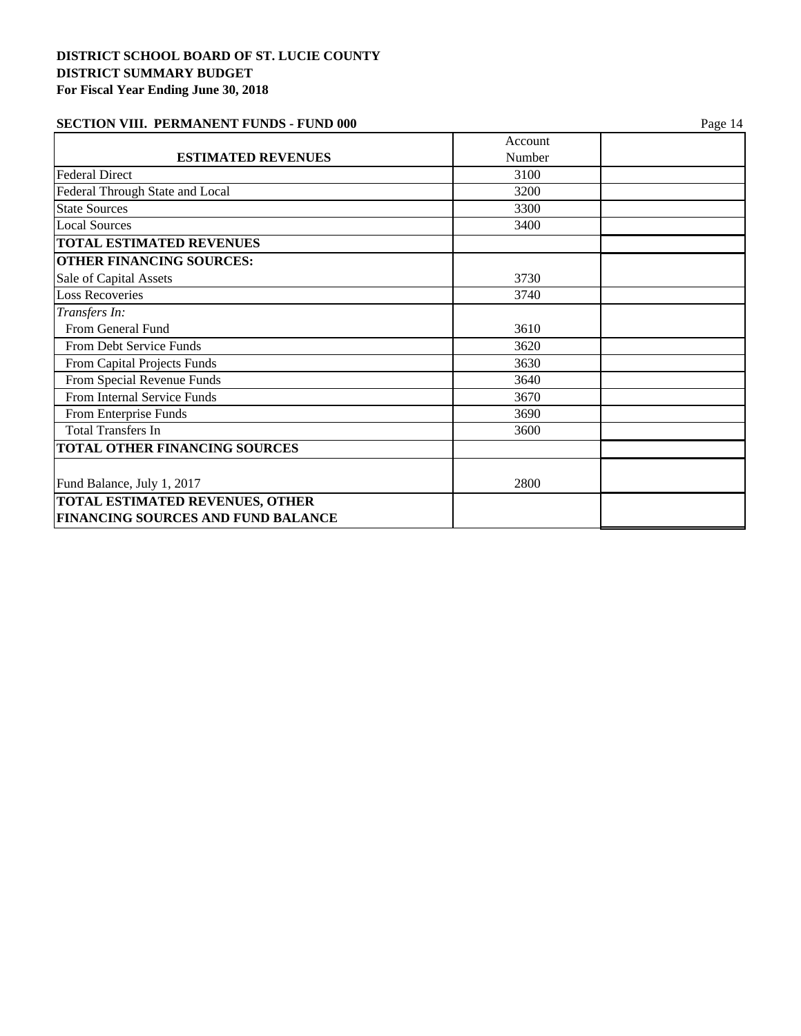| <b>SECTION VIII. PERMANENT FUNDS - FUND 000</b> | Page 14 |
|-------------------------------------------------|---------|
|                                                 |         |

|                                           | Account |  |
|-------------------------------------------|---------|--|
| <b>ESTIMATED REVENUES</b>                 | Number  |  |
| <b>Federal Direct</b>                     | 3100    |  |
| Federal Through State and Local           | 3200    |  |
| <b>State Sources</b>                      | 3300    |  |
| <b>Local Sources</b>                      | 3400    |  |
| <b>TOTAL ESTIMATED REVENUES</b>           |         |  |
| <b>OTHER FINANCING SOURCES:</b>           |         |  |
| Sale of Capital Assets                    | 3730    |  |
| <b>Loss Recoveries</b>                    | 3740    |  |
| Transfers In:                             |         |  |
| From General Fund                         | 3610    |  |
| From Debt Service Funds                   | 3620    |  |
| From Capital Projects Funds               | 3630    |  |
| From Special Revenue Funds                | 3640    |  |
| From Internal Service Funds               | 3670    |  |
| From Enterprise Funds                     | 3690    |  |
| <b>Total Transfers In</b>                 | 3600    |  |
| TOTAL OTHER FINANCING SOURCES             |         |  |
| Fund Balance, July 1, 2017                | 2800    |  |
| <b>TOTAL ESTIMATED REVENUES, OTHER</b>    |         |  |
| <b>FINANCING SOURCES AND FUND BALANCE</b> |         |  |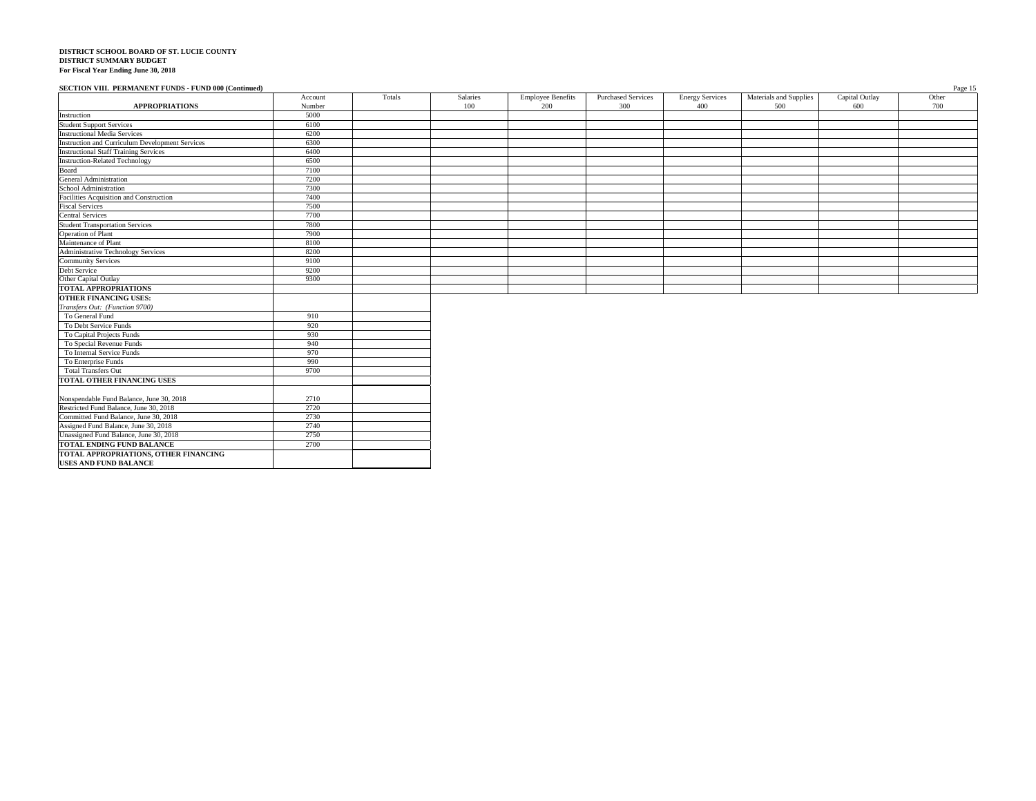**TOTAL ENDING FUND BALANCE**

**TOTAL APPROPRIATIONS, OTHER FINANCING USES AND FUND BALANCE**

2700

| SECTION VIII. PERMANENT FUNDS - FUND 000 (Continued)   |         |        |          |                          |                           |                        |                        |                | Page 15 |
|--------------------------------------------------------|---------|--------|----------|--------------------------|---------------------------|------------------------|------------------------|----------------|---------|
|                                                        | Account | Totals | Salaries | <b>Employee Benefits</b> | <b>Purchased Services</b> | <b>Energy Services</b> | Materials and Supplies | Capital Outlay | Other   |
| <b>APPROPRIATIONS</b>                                  | Number  |        | 100      | 200                      | 300                       | 400                    | 500                    | 600            | 700     |
| Instruction                                            | 5000    |        |          |                          |                           |                        |                        |                |         |
| <b>Student Support Services</b>                        | 6100    |        |          |                          |                           |                        |                        |                |         |
| <b>Instructional Media Services</b>                    | 6200    |        |          |                          |                           |                        |                        |                |         |
| <b>Instruction and Curriculum Development Services</b> | 6300    |        |          |                          |                           |                        |                        |                |         |
| <b>Instructional Staff Training Services</b>           | 6400    |        |          |                          |                           |                        |                        |                |         |
| <b>Instruction-Related Technology</b>                  | 6500    |        |          |                          |                           |                        |                        |                |         |
| Board                                                  | 7100    |        |          |                          |                           |                        |                        |                |         |
| <b>General Administration</b>                          | 7200    |        |          |                          |                           |                        |                        |                |         |
| School Administration                                  | 7300    |        |          |                          |                           |                        |                        |                |         |
| Facilities Acquisition and Construction                | 7400    |        |          |                          |                           |                        |                        |                |         |
| <b>Fiscal Services</b>                                 | 7500    |        |          |                          |                           |                        |                        |                |         |
| <b>Central Services</b>                                | 7700    |        |          |                          |                           |                        |                        |                |         |
| <b>Student Transportation Services</b>                 | 7800    |        |          |                          |                           |                        |                        |                |         |
| Operation of Plant<br>Maintenance of Plant             | 7900    |        |          |                          |                           |                        |                        |                |         |
|                                                        | 8100    |        |          |                          |                           |                        |                        |                |         |
| Administrative Technology Services                     | 8200    |        |          |                          |                           |                        |                        |                |         |
| <b>Community Services</b>                              | 9100    |        |          |                          |                           |                        |                        |                |         |
| Debt Service                                           | 9200    |        |          |                          |                           |                        |                        |                |         |
| Other Capital Outlay                                   | 9300    |        |          |                          |                           |                        |                        |                |         |
| <b>TOTAL APPROPRIATIONS</b>                            |         |        |          |                          |                           |                        |                        |                |         |
| <b>OTHER FINANCING USES:</b>                           |         |        |          |                          |                           |                        |                        |                |         |
| Transfers Out: (Function 9700)                         |         |        |          |                          |                           |                        |                        |                |         |
| To General Fund                                        | 910     |        |          |                          |                           |                        |                        |                |         |
| To Debt Service Funds                                  | 920     |        |          |                          |                           |                        |                        |                |         |
| To Capital Projects Funds                              | 930     |        |          |                          |                           |                        |                        |                |         |
| To Special Revenue Funds                               | 940     |        |          |                          |                           |                        |                        |                |         |
| To Internal Service Funds                              | 970     |        |          |                          |                           |                        |                        |                |         |
| To Enterprise Funds                                    | 990     |        |          |                          |                           |                        |                        |                |         |
| <b>Total Transfers Out</b>                             | 9700    |        |          |                          |                           |                        |                        |                |         |
| TOTAL OTHER FINANCING USES                             |         |        |          |                          |                           |                        |                        |                |         |
|                                                        |         |        |          |                          |                           |                        |                        |                |         |
| Nonspendable Fund Balance, June 30, 2018               | 2710    |        |          |                          |                           |                        |                        |                |         |
| Restricted Fund Balance, June 30, 2018                 | 2720    |        |          |                          |                           |                        |                        |                |         |
| Committed Fund Balance, June 30, 2018                  | 2730    |        |          |                          |                           |                        |                        |                |         |
| Assigned Fund Balance, June 30, 2018                   | 2740    |        |          |                          |                           |                        |                        |                |         |
| Unassigned Fund Balance, June 30, 2018                 | 2750    |        |          |                          |                           |                        |                        |                |         |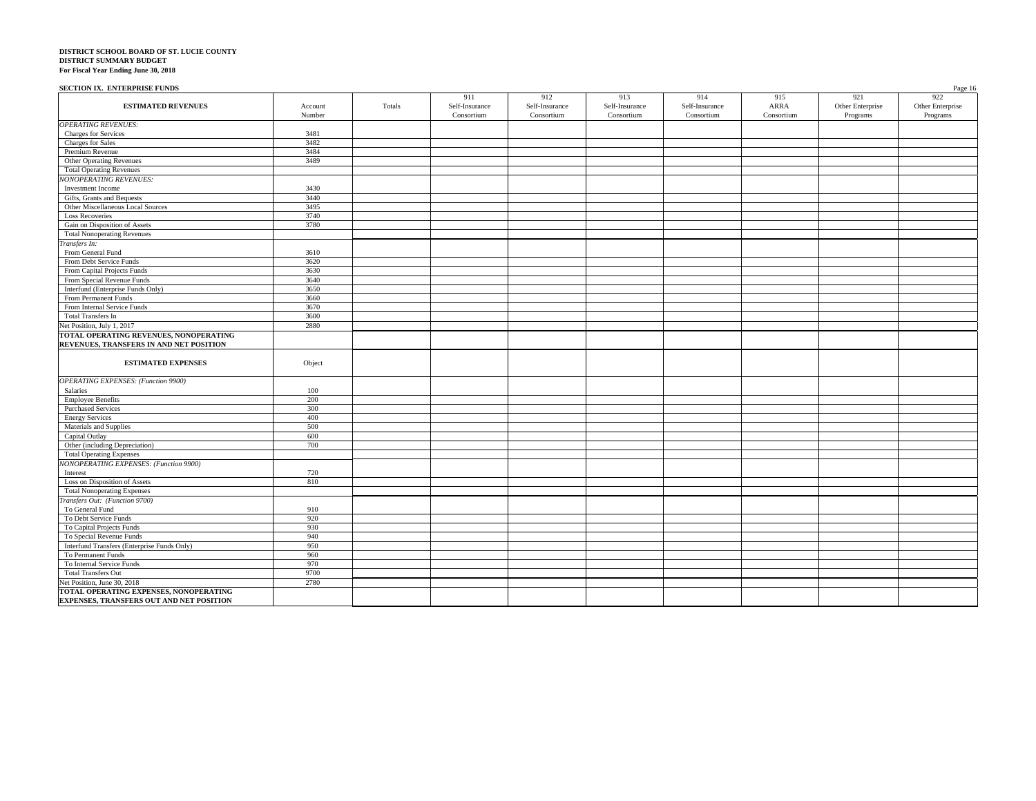#### **SECTION IX. ENTERPRISE FUNDS** Page 16

| <b>ESTIMATED REVENUES</b>                                                         | Account    | Totals | 911<br>Self-Insurance | 912<br>Self-Insurance | 913<br>Self-Insurance | 914<br>Self-Insurance | 915<br>ARRA | 921<br>Other Enterprise | 922<br>Other Enterprise |
|-----------------------------------------------------------------------------------|------------|--------|-----------------------|-----------------------|-----------------------|-----------------------|-------------|-------------------------|-------------------------|
|                                                                                   | Number     |        | Consortium            | Consortium            | Consortium            | Consortium            | Consortium  | Programs                | Programs                |
| <b>OPERATING REVENUES:</b>                                                        |            |        |                       |                       |                       |                       |             |                         |                         |
| Charges for Services                                                              | 3481       |        |                       |                       |                       |                       |             |                         |                         |
| <b>Charges</b> for Sales                                                          | 3482       |        |                       |                       |                       |                       |             |                         |                         |
| Premium Revenue                                                                   | 3484       |        |                       |                       |                       |                       |             |                         |                         |
| Other Operating Revenues                                                          | 3489       |        |                       |                       |                       |                       |             |                         |                         |
| <b>Total Operating Revenues</b>                                                   |            |        |                       |                       |                       |                       |             |                         |                         |
| <b>NONOPERATING REVENUES:</b>                                                     |            |        |                       |                       |                       |                       |             |                         |                         |
| <b>Investment Income</b>                                                          | 3430       |        |                       |                       |                       |                       |             |                         |                         |
| Gifts, Grants and Bequests                                                        | 3440       |        |                       |                       |                       |                       |             |                         |                         |
| Other Miscellaneous Local Sources                                                 | 3495       |        |                       |                       |                       |                       |             |                         |                         |
| <b>Loss Recoveries</b>                                                            | 3740       |        |                       |                       |                       |                       |             |                         |                         |
| Gain on Disposition of Assets                                                     | 3780       |        |                       |                       |                       |                       |             |                         |                         |
| <b>Total Nonoperating Revenues</b>                                                |            |        |                       |                       |                       |                       |             |                         |                         |
| Transfers In:                                                                     |            |        |                       |                       |                       |                       |             |                         |                         |
| From General Fund                                                                 | 3610       |        |                       |                       |                       |                       |             |                         |                         |
| From Debt Service Funds                                                           | 3620       |        |                       |                       |                       |                       |             |                         |                         |
| From Capital Projects Funds                                                       | 3630       |        |                       |                       |                       |                       |             |                         |                         |
| From Special Revenue Funds                                                        | 3640       |        |                       |                       |                       |                       |             |                         |                         |
| Interfund (Enterprise Funds Only)                                                 | 3650       |        |                       |                       |                       |                       |             |                         |                         |
| From Permanent Funds                                                              | 3660       |        |                       |                       |                       |                       |             |                         |                         |
| From Internal Service Funds                                                       | 3670       |        |                       |                       |                       |                       |             |                         |                         |
| <b>Total Transfers In</b>                                                         | 3600       |        |                       |                       |                       |                       |             |                         |                         |
| Net Position, July 1, 2017                                                        | 2880       |        |                       |                       |                       |                       |             |                         |                         |
| TOTAL OPERATING REVENUES, NONOPERATING<br>REVENUES, TRANSFERS IN AND NET POSITION |            |        |                       |                       |                       |                       |             |                         |                         |
| <b>ESTIMATED EXPENSES</b>                                                         | Object     |        |                       |                       |                       |                       |             |                         |                         |
| <b>OPERATING EXPENSES:</b> (Function 9900)                                        |            |        |                       |                       |                       |                       |             |                         |                         |
| Salaries                                                                          | 100        |        |                       |                       |                       |                       |             |                         |                         |
| <b>Employee Benefits</b>                                                          | 200        |        |                       |                       |                       |                       |             |                         |                         |
| <b>Purchased Services</b>                                                         | 300        |        |                       |                       |                       |                       |             |                         |                         |
| <b>Energy Services</b>                                                            | 400        |        |                       |                       |                       |                       |             |                         |                         |
| Materials and Supplies                                                            | 500        |        |                       |                       |                       |                       |             |                         |                         |
| Capital Outlay                                                                    | 600        |        |                       |                       |                       |                       |             |                         |                         |
| Other (including Depreciation)                                                    | 700        |        |                       |                       |                       |                       |             |                         |                         |
| <b>Total Operating Expenses</b>                                                   |            |        |                       |                       |                       |                       |             |                         |                         |
| NONOPERATING EXPENSES: (Function 9900)                                            |            |        |                       |                       |                       |                       |             |                         |                         |
| Interest                                                                          | 720        |        |                       |                       |                       |                       |             |                         |                         |
| Loss on Disposition of Assets                                                     | 810        |        |                       |                       |                       |                       |             |                         |                         |
| <b>Total Nonoperating Expenses</b>                                                |            |        |                       |                       |                       |                       |             |                         |                         |
| Transfers Out: (Function 9700)                                                    |            |        |                       |                       |                       |                       |             |                         |                         |
| To General Fund                                                                   | 910        |        |                       |                       |                       |                       |             |                         |                         |
| To Debt Service Funds                                                             | 920        |        |                       |                       |                       |                       |             |                         |                         |
| To Capital Projects Funds                                                         | 930        |        |                       |                       |                       |                       |             |                         |                         |
| To Special Revenue Funds                                                          | 940<br>950 |        |                       |                       |                       |                       |             |                         |                         |
| Interfund Transfers (Enterprise Funds Only)<br>To Permanent Funds                 |            |        |                       |                       |                       |                       |             |                         |                         |
| To Internal Service Funds                                                         | 960<br>970 |        |                       |                       |                       |                       |             |                         |                         |
| <b>Total Transfers Out</b>                                                        | 9700       |        |                       |                       |                       |                       |             |                         |                         |
| Net Position, June 30, 2018                                                       | 2780       |        |                       |                       |                       |                       |             |                         |                         |
| TOTAL OPERATING EXPENSES, NONOPERATING                                            |            |        |                       |                       |                       |                       |             |                         |                         |
| EXPENSES, TRANSFERS OUT AND NET POSITION                                          |            |        |                       |                       |                       |                       |             |                         |                         |